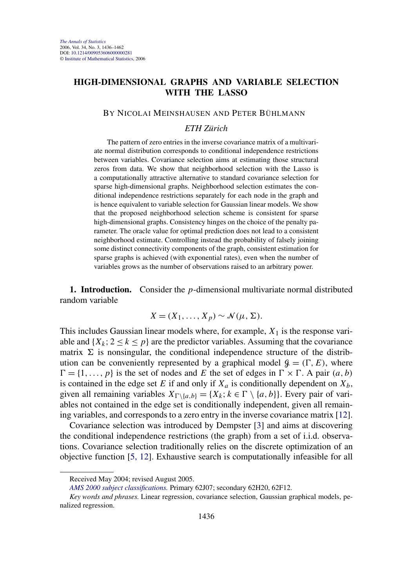# **HIGH-DIMENSIONAL GRAPHS AND VARIABLE SELECTION WITH THE LASSO**

### BY NICOLAI MEINSHAUSEN AND PETER BÜHLMANN

## *ETH Zürich*

The pattern of zero entries in the inverse covariance matrix of a multivariate normal distribution corresponds to conditional independence restrictions between variables. Covariance selection aims at estimating those structural zeros from data. We show that neighborhood selection with the Lasso is a computationally attractive alternative to standard covariance selection for sparse high-dimensional graphs. Neighborhood selection estimates the conditional independence restrictions separately for each node in the graph and is hence equivalent to variable selection for Gaussian linear models. We show that the proposed neighborhood selection scheme is consistent for sparse high-dimensional graphs. Consistency hinges on the choice of the penalty parameter. The oracle value for optimal prediction does not lead to a consistent neighborhood estimate. Controlling instead the probability of falsely joining some distinct connectivity components of the graph, consistent estimation for sparse graphs is achieved (with exponential rates), even when the number of variables grows as the number of observations raised to an arbitrary power.

**1. Introduction.** Consider the *p*-dimensional multivariate normal distributed random variable

$$
X=(X_1,\ldots,X_p)\sim \mathcal{N}(\mu,\Sigma).
$$

This includes Gaussian linear models where, for example,  $X_1$  is the response variable and  $\{X_k; 2 \le k \le p\}$  are the predictor variables. Assuming that the covariance matrix  $\Sigma$  is nonsingular, the conditional independence structure of the distribution can be conveniently represented by a graphical model  $\mathcal{G} = (\Gamma, E)$ , where  $\Gamma = \{1, \ldots, p\}$  is the set of nodes and *E* the set of edges in  $\Gamma \times \Gamma$ . A pair  $(a, b)$ is contained in the edge set *E* if and only if  $X_a$  is conditionally dependent on  $X_b$ , given all remaining variables  $X_{\Gamma \setminus \{a,b\}} = \{X_k; k \in \Gamma \setminus \{a,b\}\}\.$  Every pair of variables not contained in the edge set is conditionally independent, given all remaining variables, and corresponds to a zero entry in the inverse covariance matrix [\[12\]](#page-26-0).

Covariance selection was introduced by Dempster [\[3\]](#page-25-0) and aims at discovering the conditional independence restrictions (the graph) from a set of i.i.d. observations. Covariance selection traditionally relies on the discrete optimization of an objective function [\[5, 12\]](#page-25-0). Exhaustive search is computationally infeasible for all

Received May 2004; revised August 2005.

*[AMS 2000 subject classifications.](http://www.ams.org/msc/)* Primary 62J07; secondary 62H20, 62F12.

*Key words and phrases.* Linear regression, covariance selection, Gaussian graphical models, penalized regression.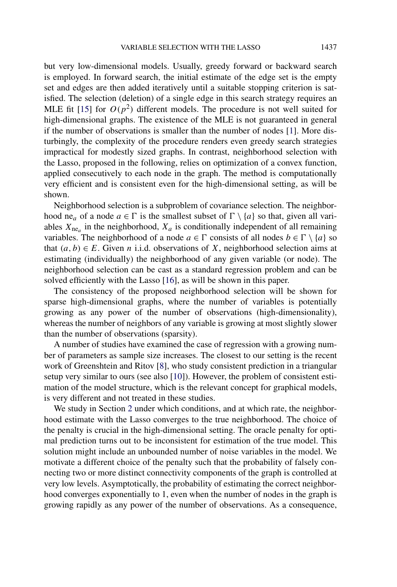but very low-dimensional models. Usually, greedy forward or backward search is employed. In forward search, the initial estimate of the edge set is the empty set and edges are then added iteratively until a suitable stopping criterion is satisfied. The selection (deletion) of a single edge in this search strategy requires an MLE fit [\[15\]](#page-26-0) for  $O(p^2)$  different models. The procedure is not well suited for high-dimensional graphs. The existence of the MLE is not guaranteed in general if the number of observations is smaller than the number of nodes [\[1\]](#page-25-0). More disturbingly, the complexity of the procedure renders even greedy search strategies impractical for modestly sized graphs. In contrast, neighborhood selection with the Lasso, proposed in the following, relies on optimization of a convex function, applied consecutively to each node in the graph. The method is computationally very efficient and is consistent even for the high-dimensional setting, as will be shown.

Neighborhood selection is a subproblem of covariance selection. The neighborhood ne<sub>a</sub> of a node  $a \in \Gamma$  is the smallest subset of  $\Gamma \setminus \{a\}$  so that, given all variables  $X_{\text{ne}_a}$  in the neighborhood,  $X_a$  is conditionally independent of all remaining variables. The neighborhood of a node  $a \in \Gamma$  consists of all nodes  $b \in \Gamma \setminus \{a\}$  so that  $(a, b) \in E$ . Given *n* i.i.d. observations of *X*, neighborhood selection aims at estimating (individually) the neighborhood of any given variable (or node). The neighborhood selection can be cast as a standard regression problem and can be solved efficiently with the Lasso [\[16\]](#page-26-0), as will be shown in this paper.

The consistency of the proposed neighborhood selection will be shown for sparse high-dimensional graphs, where the number of variables is potentially growing as any power of the number of observations (high-dimensionality), whereas the number of neighbors of any variable is growing at most slightly slower than the number of observations (sparsity).

A number of studies have examined the case of regression with a growing number of parameters as sample size increases. The closest to our setting is the recent work of Greenshtein and Ritov [\[8\]](#page-25-0), who study consistent prediction in a triangular setup very similar to ours (see also [\[10\]](#page-25-0)). However, the problem of consistent estimation of the model structure, which is the relevant concept for graphical models, is very different and not treated in these studies.

We study in Section [2](#page-2-0) under which conditions, and at which rate, the neighborhood estimate with the Lasso converges to the true neighborhood. The choice of the penalty is crucial in the high-dimensional setting. The oracle penalty for optimal prediction turns out to be inconsistent for estimation of the true model. This solution might include an unbounded number of noise variables in the model. We motivate a different choice of the penalty such that the probability of falsely connecting two or more distinct connectivity components of the graph is controlled at very low levels. Asymptotically, the probability of estimating the correct neighborhood converges exponentially to 1, even when the number of nodes in the graph is growing rapidly as any power of the number of observations. As a consequence,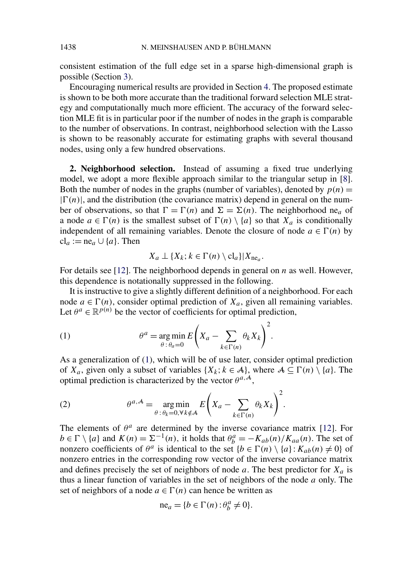consistent estimation of the full edge set in a sparse high-dimensional graph is possible (Section [3\)](#page-9-0).

Encouraging numerical results are provided in Section [4.](#page-11-0) The proposed estimate is shown to be both more accurate than the traditional forward selection MLE strategy and computationally much more efficient. The accuracy of the forward selection MLE fit is in particular poor if the number of nodes in the graph is comparable to the number of observations. In contrast, neighborhood selection with the Lasso is shown to be reasonably accurate for estimating graphs with several thousand nodes, using only a few hundred observations.

**2. Neighborhood selection.** Instead of assuming a fixed true underlying model, we adopt a more flexible approach similar to the triangular setup in [\[8\]](#page-25-0). Both the number of nodes in the graphs (number of variables), denoted by  $p(n)$  =  $|\Gamma(n)|$ , and the distribution (the covariance matrix) depend in general on the number of observations, so that  $\Gamma = \Gamma(n)$  and  $\Sigma = \Sigma(n)$ . The neighborhood ne<sub>a</sub> of a node  $a \in \Gamma(n)$  is the smallest subset of  $\Gamma(n) \setminus \{a\}$  so that  $X_a$  is conditionally independent of all remaining variables. Denote the closure of node  $a \in \Gamma(n)$  by  $cl_a := ne_a \cup \{a\}$ . Then

$$
X_a \perp \{X_k; k \in \Gamma(n) \setminus \mathrm{cl}_a\} | X_{\mathrm{ne}_a}.
$$

For details see [\[12\]](#page-26-0). The neighborhood depends in general on *n* as well. However, this dependence is notationally suppressed in the following.

It is instructive to give a slightly different definition of a neighborhood. For each node  $a \in \Gamma(n)$ , consider optimal prediction of  $X_a$ , given all remaining variables. Let  $\theta^a \in \mathbb{R}^{p(n)}$  be the vector of coefficients for optimal prediction,

(1) 
$$
\theta^{a} = \underset{\theta \, : \, \theta_{a} = 0}{\arg \min} E\left(X_{a} - \sum_{k \in \Gamma(n)} \theta_{k} X_{k}\right)^{2}.
$$

As a generalization of (1), which will be of use later, consider optimal prediction of  $X_a$ , given only a subset of variables  $\{X_k; k \in A\}$ , where  $A \subseteq \Gamma(n) \setminus \{a\}$ . The optimal prediction is characterized by the vector  $\theta^{a, A}$ ,

(2) 
$$
\theta^{a,A} = \underset{\theta: \theta_k = 0, \forall k \notin A}{\arg \min} E\left(X_a - \sum_{k \in \Gamma(n)} \theta_k X_k\right)^2.
$$

The elements of  $\theta^a$  are determined by the inverse covariance matrix [\[12\]](#page-26-0). For  $b \in \Gamma \setminus \{a\}$  and  $K(n) = \Sigma^{-1}(n)$ , it holds that  $\theta_b^a = -K_{ab}(n)/K_{aa}(n)$ . The set of nonzero coefficients of  $\theta^a$  is identical to the set  $\{b \in \Gamma(n) \setminus \{a\} : K_{ab}(n) \neq 0\}$  of nonzero entries in the corresponding row vector of the inverse covariance matrix and defines precisely the set of neighbors of node  $a$ . The best predictor for  $X_a$  is thus a linear function of variables in the set of neighbors of the node *a* only. The set of neighbors of a node  $a \in \Gamma(n)$  can hence be written as

$$
ne_a = \{b \in \Gamma(n) : \theta_b^a \neq 0\}.
$$

<span id="page-2-0"></span>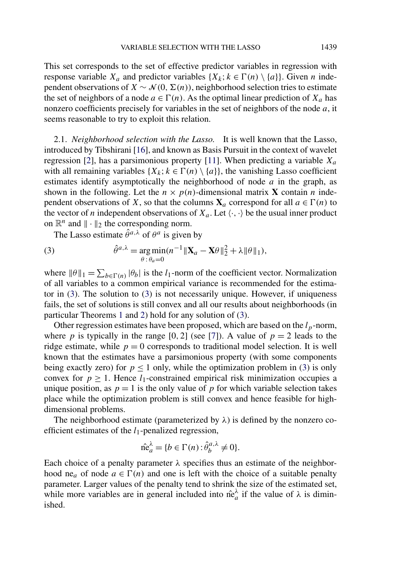<span id="page-3-0"></span>This set corresponds to the set of effective predictor variables in regression with response variable  $X_a$  and predictor variables  $\{X_k; k \in \Gamma(n) \setminus \{a\}\}\)$ . Given *n* independent observations of *X* ~  $\mathcal{N}(0, \Sigma(n))$ , neighborhood selection tries to estimate the set of neighbors of a node  $a \in \Gamma(n)$ . As the optimal linear prediction of  $X_a$  has nonzero coefficients precisely for variables in the set of neighbors of the node *a*, it seems reasonable to try to exploit this relation.

2.1. *Neighborhood selection with the Lasso.* It is well known that the Lasso, introduced by Tibshirani [\[16\]](#page-26-0), and known as Basis Pursuit in the context of wavelet regression [\[2\]](#page-25-0), has a parsimonious property [\[11\]](#page-25-0). When predicting a variable *Xa* with all remaining variables  $\{X_k; k \in \Gamma(n) \setminus \{a\}\}\)$ , the vanishing Lasso coefficient estimates identify asymptotically the neighborhood of node *a* in the graph, as shown in the following. Let the  $n \times p(n)$ -dimensional matrix **X** contain *n* independent observations of *X*, so that the columns  $\mathbf{X}_a$  correspond for all  $a \in \Gamma(n)$  to the vector of *n* independent observations of  $X_a$ . Let  $\langle \cdot, \cdot \rangle$  be the usual inner product on  $\mathbb{R}^n$  and  $\|\cdot\|_2$  the corresponding norm.

The Lasso estimate  $\hat{\theta}^{a,\lambda}$  of  $\theta^a$  is given by

(3) 
$$
\hat{\theta}^{a,\lambda} = \underset{\theta : \theta_a = 0}{\arg \min} (n^{-1} \|\mathbf{X}_a - \mathbf{X}\theta\|_2^2 + \lambda \|\theta\|_1),
$$

where  $\|\theta\|_1 = \sum_{b \in \Gamma(n)} |\theta_b|$  is the *l*<sub>1</sub>-norm of the coefficient vector. Normalization of all variables to a common empirical variance is recommended for the estimator in  $(3)$ . The solution to  $(3)$  is not necessarily unique. However, if uniqueness fails, the set of solutions is still convex and all our results about neighborhoods (in particular Theorems [1](#page-8-0) and [2\)](#page-8-0) hold for any solution of (3).

Other regression estimates have been proposed, which are based on the  $l_p$ -norm, where *p* is typically in the range [0, 2] (see [\[7\]](#page-25-0)). A value of  $p = 2$  leads to the ridge estimate, while  $p = 0$  corresponds to traditional model selection. It is well known that the estimates have a parsimonious property (with some components being exactly zero) for  $p \le 1$  only, while the optimization problem in (3) is only convex for  $p \ge 1$ . Hence  $l_1$ -constrained empirical risk minimization occupies a unique position, as  $p = 1$  is the only value of p for which variable selection takes place while the optimization problem is still convex and hence feasible for highdimensional problems.

The neighborhood estimate (parameterized by  $\lambda$ ) is defined by the nonzero coefficient estimates of the *l*1-penalized regression,

$$
\hat{\text{ne}}_a^\lambda = \{ b \in \Gamma(n) : \hat{\theta}_b^{a,\lambda} \neq 0 \}.
$$

Each choice of a penalty parameter  $\lambda$  specifies thus an estimate of the neighborhood ne<sub>a</sub> of node  $a \in \Gamma(n)$  and one is left with the choice of a suitable penalty parameter. Larger values of the penalty tend to shrink the size of the estimated set, while more variables are in general included into  $\hat{ne}_a^{\lambda}$  if the value of  $\lambda$  is diminished.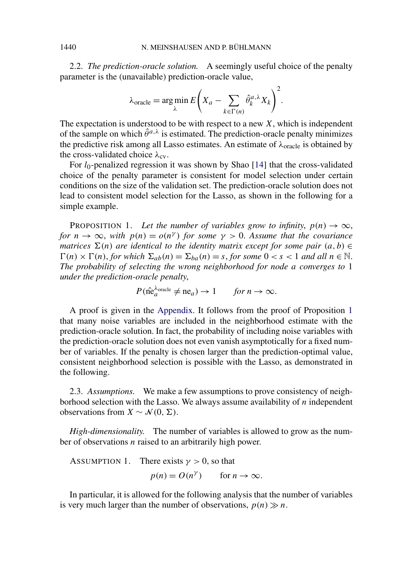<span id="page-4-0"></span>2.2. *The prediction-oracle solution.* A seemingly useful choice of the penalty parameter is the (unavailable) prediction-oracle value,

$$
\lambda_{\text{oracle}} = \underset{\lambda}{\arg\min} E\bigg(X_a - \sum_{k \in \Gamma(n)} \hat{\theta}_k^{a,\lambda} X_k\bigg)^2.
$$

The expectation is understood to be with respect to a new *X*, which is independent of the sample on which  $\hat{\theta}^{a,\lambda}$  is estimated. The prediction-oracle penalty minimizes the predictive risk among all Lasso estimates. An estimate of  $\lambda_{\text{oracle}}$  is obtained by the cross-validated choice  $\lambda_{\rm cv}$ .

For *l*0-penalized regression it was shown by Shao [\[14\]](#page-26-0) that the cross-validated choice of the penalty parameter is consistent for model selection under certain conditions on the size of the validation set. The prediction-oracle solution does not lead to consistent model selection for the Lasso, as shown in the following for a simple example.

PROPOSITION 1. Let the number of variables grow to infinity,  $p(n) \to \infty$ , *for*  $n \to \infty$ , with  $p(n) = o(n^{\gamma})$  *for some*  $\gamma > 0$ . Assume that the covariance *matrices*  $\Sigma(n)$  *are identical to the identity matrix except for some pair*  $(a, b) \in$  $\Gamma(n) \times \Gamma(n)$ , *for which*  $\Sigma_{ab}(n) = \Sigma_{ba}(n) = s$ , *for some*  $0 < s < 1$  *and all*  $n \in \mathbb{N}$ . *The probability of selecting the wrong neighborhood for node a converges to* 1 *under the prediction-oracle penalty*,

$$
P(\hat{\text{ne}}_a^{\lambda_{\text{oracle}}}\neq \text{ne}_a) \to 1 \qquad \text{for } n \to \infty.
$$

A proof is given in the [Appendix.](#page-13-0) It follows from the proof of Proposition 1 that many noise variables are included in the neighborhood estimate with the prediction-oracle solution. In fact, the probability of including noise variables with the prediction-oracle solution does not even vanish asymptotically for a fixed number of variables. If the penalty is chosen larger than the prediction-optimal value, consistent neighborhood selection is possible with the Lasso, as demonstrated in the following.

2.3. *Assumptions.* We make a few assumptions to prove consistency of neighborhood selection with the Lasso. We always assume availability of *n* independent observations from  $X \sim \mathcal{N}(0, \Sigma)$ .

*High-dimensionality.* The number of variables is allowed to grow as the number of observations *n* raised to an arbitrarily high power.

ASSUMPTION 1. There exists  $\gamma > 0$ , so that  $p(n) = O(n^{\gamma})$  for  $n \to \infty$ .

In particular, it is allowed for the following analysis that the number of variables is very much larger than the number of observations,  $p(n) \gg n$ .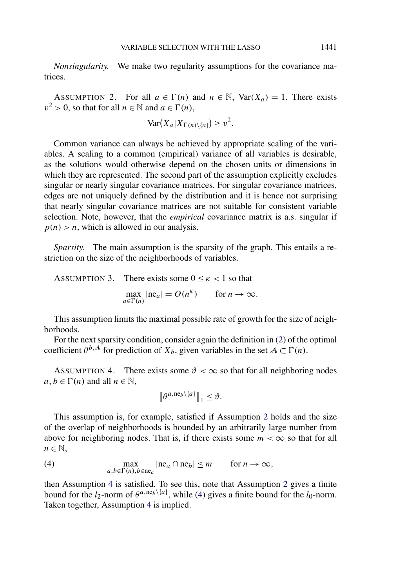<span id="page-5-0"></span>*Nonsingularity.* We make two regularity assumptions for the covariance matrices.

ASSUMPTION 2. For all  $a \in \Gamma(n)$  and  $n \in \mathbb{N}$ ,  $\text{Var}(X_a) = 1$ . There exists  $v^2 > 0$ , so that for all  $n \in \mathbb{N}$  and  $a \in \Gamma(n)$ ,

$$
\text{Var}(X_a | X_{\Gamma(n) \setminus \{a\}}) \ge v^2.
$$

Common variance can always be achieved by appropriate scaling of the variables. A scaling to a common (empirical) variance of all variables is desirable, as the solutions would otherwise depend on the chosen units or dimensions in which they are represented. The second part of the assumption explicitly excludes singular or nearly singular covariance matrices. For singular covariance matrices, edges are not uniquely defined by the distribution and it is hence not surprising that nearly singular covariance matrices are not suitable for consistent variable selection. Note, however, that the *empirical* covariance matrix is a.s. singular if  $p(n) > n$ , which is allowed in our analysis.

*Sparsity.* The main assumption is the sparsity of the graph. This entails a restriction on the size of the neighborhoods of variables.

```
ASSUMPTION 3. There exists some 0 \le \kappa < 1 so that
                \max_{a \in \Gamma(n)} |\text{ne}_a| = O(n^k) \quad \text{for } n \to \infty.
```
This assumption limits the maximal possible rate of growth for the size of neighborhoods.

For the next sparsity condition, consider again the definition in [\(2\)](#page-2-0) of the optimal coefficient  $\theta^{b,A}$  for prediction of  $X_b$ , given variables in the set  $A \subset \Gamma(n)$ .

ASSUMPTION 4. There exists some  $\vartheta < \infty$  so that for all neighboring nodes  $a, b \in \Gamma(n)$  and all  $n \in \mathbb{N}$ ,

$$
\|\theta^{a,\text{ne}_b\backslash\{a\}}\|_1 \leq \vartheta.
$$

This assumption is, for example, satisfied if Assumption 2 holds and the size of the overlap of neighborhoods is bounded by an arbitrarily large number from above for neighboring nodes. That is, if there exists some  $m < \infty$  so that for all  $n \in \mathbb{N}$ ,

(4) 
$$
\max_{a,b \in \Gamma(n), b \in \mathbf{ne}_a} |\text{ne}_a \cap \text{ne}_b| \leq m \quad \text{for } n \to \infty,
$$

then Assumption 4 is satisfied. To see this, note that Assumption 2 gives a finite bound for the *l*<sub>2</sub>-norm of  $\theta^{a, \text{ne}_b \setminus \{a\}}$ , while (4) gives a finite bound for the *l*<sub>0</sub>-norm. Taken together, Assumption 4 is implied.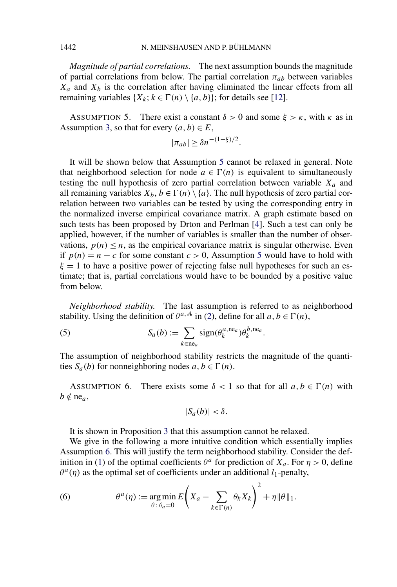*Magnitude of partial correlations.* The next assumption bounds the magnitude of partial correlations from below. The partial correlation  $\pi_{ab}$  between variables  $X_a$  and  $X_b$  is the correlation after having eliminated the linear effects from all remaining variables  $\{X_k; k \in \Gamma(n) \setminus \{a, b\}\}$ ; for details see [\[12\]](#page-26-0).

ASSUMPTION 5. There exist a constant  $\delta > 0$  and some  $\xi > \kappa$ , with  $\kappa$  as in Assumption [3,](#page-5-0) so that for every  $(a, b) \in E$ ,

$$
|\pi_{ab}| \geq \delta n^{-(1-\xi)/2}.
$$

It will be shown below that Assumption 5 cannot be relaxed in general. Note that neighborhood selection for node  $a \in \Gamma(n)$  is equivalent to simultaneously testing the null hypothesis of zero partial correlation between variable  $X_a$  and all remaining variables  $X_b$ ,  $b \in \Gamma(n) \setminus \{a\}$ . The null hypothesis of zero partial correlation between two variables can be tested by using the corresponding entry in the normalized inverse empirical covariance matrix. A graph estimate based on such tests has been proposed by Drton and Perlman [\[4\]](#page-25-0). Such a test can only be applied, however, if the number of variables is smaller than the number of observations,  $p(n) \leq n$ , as the empirical covariance matrix is singular otherwise. Even if  $p(n) = n - c$  for some constant  $c > 0$ , Assumption 5 would have to hold with  $\xi = 1$  to have a positive power of rejecting false null hypotheses for such an estimate; that is, partial correlations would have to be bounded by a positive value from below.

*Neighborhood stability.* The last assumption is referred to as neighborhood stability. Using the definition of  $\theta^{a,A}$  in [\(2\)](#page-2-0), define for all  $a, b \in \Gamma(n)$ ,

(5) 
$$
S_a(b) := \sum_{k \in ne_a} sign(\theta_k^{a,ne_a})\theta_k^{b,ne_a}.
$$

The assumption of neighborhood stability restricts the magnitude of the quantities  $S_a(b)$  for nonneighboring nodes  $a, b \in \Gamma(n)$ .

ASSUMPTION 6. There exists some  $\delta < 1$  so that for all  $a, b \in \Gamma(n)$  with  $b \notin \text{ne}_a$ ,

$$
|S_a(b)| < \delta.
$$

It is shown in Proposition [3](#page-8-0) that this assumption cannot be relaxed.

We give in the following a more intuitive condition which essentially implies Assumption 6. This will justify the term neighborhood stability. Consider the def-inition in [\(1\)](#page-2-0) of the optimal coefficients  $\theta^a$  for prediction of  $X_a$ . For  $\eta > 0$ , define  $\theta^a(\eta)$  as the optimal set of coefficients under an additional *l*<sub>1</sub>-penalty,

(6) 
$$
\theta^{a}(\eta) := \underset{\theta \, : \, \theta_{a} = 0}{\arg \min} E\left(X_{a} - \sum_{k \in \Gamma(n)} \theta_{k} X_{k}\right)^{2} + \eta \|\theta\|_{1}.
$$

<span id="page-6-0"></span>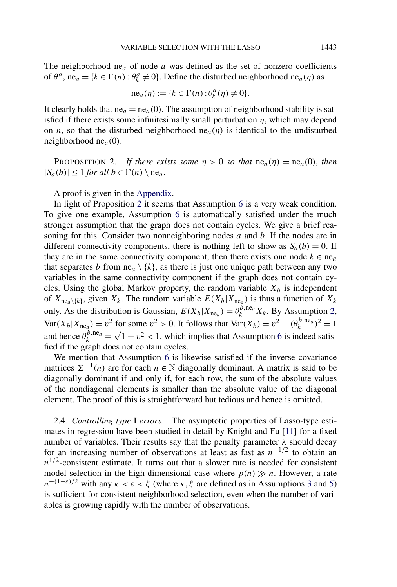<span id="page-7-0"></span>The neighborhood ne $_a$  of node  $a$  was defined as the set of nonzero coefficients of  $\theta^a$ , ne<sub>a</sub> = { $k \in \Gamma(n)$  :  $\theta^a_k \neq 0$ }. Define the disturbed neighborhood ne<sub>a</sub>(*n*) as

$$
ne_a(\eta) := \{k \in \Gamma(n) : \theta_k^a(\eta) \neq 0\}.
$$

It clearly holds that  $ne_a = ne_a(0)$ . The assumption of neighborhood stability is satisfied if there exists some infinitesimally small perturbation  $\eta$ , which may depend on *n*, so that the disturbed neighborhood  $ne_a(\eta)$  is identical to the undisturbed neighborhood ne*a(*0*)*.

PROPOSITION 2. *If there exists some*  $\eta > 0$  *so that*  $ne_a(\eta) = ne_a(0)$ , *then*  $|S_a(b)| \leq 1$  *for all*  $b \in \Gamma(n) \setminus \text{ne}_a$ .

A proof is given in the [Appendix.](#page-13-0)

In light of Proposition 2 it seems that Assumption [6](#page-6-0) is a very weak condition. To give one example, Assumption [6](#page-6-0) is automatically satisfied under the much stronger assumption that the graph does not contain cycles. We give a brief reasoning for this. Consider two nonneighboring nodes *a* and *b*. If the nodes are in different connectivity components, there is nothing left to show as  $S_a(b) = 0$ . If they are in the same connectivity component, then there exists one node  $k \in ne_a$ that separates *b* from  $nea \setminus \{k\}$ , as there is just one unique path between any two variables in the same connectivity component if the graph does not contain cycles. Using the global Markov property, the random variable  $X_b$  is independent of  $X_{\text{ne}_a \setminus \{k\}}$ , given  $X_k$ . The random variable  $E(X_b | X_{\text{ne}_a})$  is thus a function of  $X_k$ only. As the distribution is Gaussian,  $E(X_b|X_{ne_a}) = \theta_k^{b,ne_a} X_k$ . By Assumption [2,](#page-5-0)  $Var(X_b|X_{ne_a}) = v^2$  for some  $v^2 > 0$ . It follows that  $Var(X_b) = v^2 + (\theta_k^{b,ne_a})^2 = 1$ var( $x_b$ | $x_{ne_a}$ ) = *v* 101 some *v* > 0. It follows that  $\text{Var}(x_b) = v + (v_k) = 1$ <br>and hence  $\theta_k^{b,ne_a} = \sqrt{1 - v^2} < 1$ , which implies that Assumption [6](#page-6-0) is indeed satisfied if the graph does not contain cycles.

We mention that Assumption [6](#page-6-0) is likewise satisfied if the inverse covariance matrices  $\Sigma^{-1}(n)$  are for each  $n \in \mathbb{N}$  diagonally dominant. A matrix is said to be diagonally dominant if and only if, for each row, the sum of the absolute values of the nondiagonal elements is smaller than the absolute value of the diagonal element. The proof of this is straightforward but tedious and hence is omitted.

2.4. *Controlling type* I *errors.* The asymptotic properties of Lasso-type estimates in regression have been studied in detail by Knight and Fu [\[11\]](#page-25-0) for a fixed number of variables. Their results say that the penalty parameter  $\lambda$  should decay for an increasing number of observations at least as fast as  $n^{-1/2}$  to obtain an  $n^{1/2}$ -consistent estimate. It turns out that a slower rate is needed for consistent model selection in the high-dimensional case where  $p(n) \gg n$ . However, a rate *n*<sup>−(1−*ε*)/2 with any  $\kappa < \varepsilon < \xi$  (where  $\kappa, \xi$  are defined as in Assumptions [3](#page-5-0) and [5\)](#page-6-0)</sup> is sufficient for consistent neighborhood selection, even when the number of variables is growing rapidly with the number of observations.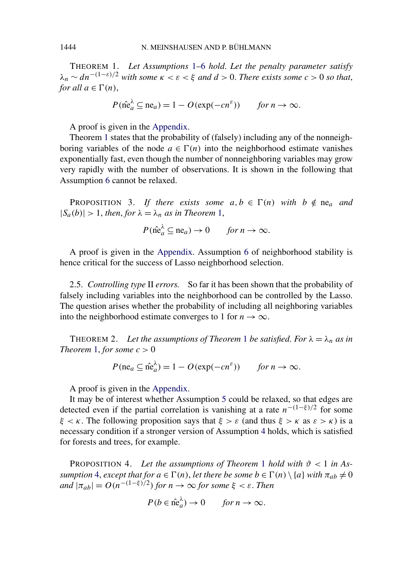<span id="page-8-0"></span>THEOREM 1. *Let Assumptions* [1–](#page-4-0)[6](#page-6-0) *hold*. *Let the penalty parameter satisfy*  $\lambda_n \sim dn^{-(1-\epsilon)/2}$  *with some*  $\kappa < \epsilon < \xi$  *and*  $d > 0$ . *There exists some*  $c > 0$  *so that*, *for all*  $a \in \Gamma(n)$ ,

$$
P(\hat{\text{ne}}_a^{\lambda} \subseteq \text{ne}_a) = 1 - O(\exp(-cn^{\varepsilon})) \quad \text{for } n \to \infty.
$$

A proof is given in the [Appendix.](#page-13-0)

Theorem 1 states that the probability of (falsely) including any of the nonneighboring variables of the node  $a \in \Gamma(n)$  into the neighborhood estimate vanishes exponentially fast, even though the number of nonneighboring variables may grow very rapidly with the number of observations. It is shown in the following that Assumption [6](#page-6-0) cannot be relaxed.

PROPOSITION 3. If there exists some  $a, b \in \Gamma(n)$  with  $b \notin \mathbf{ne}_a$  and  $|S_a(b)| > 1$ , *then*, *for*  $\lambda = \lambda_n$  *as in Theorem* 1,

$$
P(\hat{\text{ne}}_a^{\lambda} \subseteq \text{ne}_a) \to 0 \quad \text{for } n \to \infty.
$$

A proof is given in the [Appendix.](#page-13-0) Assumption [6](#page-6-0) of neighborhood stability is hence critical for the success of Lasso neighborhood selection.

2.5. *Controlling type* II *errors.* So far it has been shown that the probability of falsely including variables into the neighborhood can be controlled by the Lasso. The question arises whether the probability of including all neighboring variables into the neighborhood estimate converges to 1 for  $n \to \infty$ .

THEOREM 2. Let the assumptions of Theorem 1 be satisfied. For  $\lambda = \lambda_n$  as in *Theorem* 1, *for some*  $c > 0$ 

$$
P(\text{ne}_a \subseteq \hat{\text{ne}}_a^{\lambda}) = 1 - O(\exp(-cn^{\varepsilon})) \quad \text{for } n \to \infty.
$$

A proof is given in the [Appendix.](#page-13-0)

It may be of interest whether Assumption [5](#page-6-0) could be relaxed, so that edges are detected even if the partial correlation is vanishing at a rate *n*−*(*1−*ξ )/*<sup>2</sup> for some *ξ* < *κ*. The following proposition says that  $\xi > \varepsilon$  (and thus  $\xi > \kappa$  as  $\varepsilon > \kappa$ ) is a necessary condition if a stronger version of Assumption [4](#page-5-0) holds, which is satisfied for forests and trees, for example.

PROPOSITION 4. Let the assumptions of Theorem 1 hold with  $\vartheta$  < 1 in As*sumption* [4,](#page-5-0) *except that for*  $a \in \Gamma(n)$ , *let there be some b*  $\in \Gamma(n) \setminus \{a\}$  *with*  $\pi_{ab} \neq 0$  $\int \frac{d\pi}{n}$   $|\pi_{ab}| = O(n^{-(1-\xi)/2})$  *for*  $n \to \infty$  *for some*  $\xi < \varepsilon$ . *Then* 

$$
P(b \in \hat{\text{ne}}_a^{\lambda}) \to 0 \quad \text{for } n \to \infty.
$$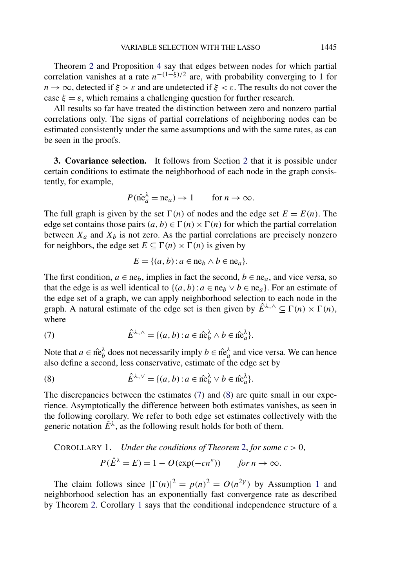<span id="page-9-0"></span>Theorem [2](#page-8-0) and Proposition [4](#page-8-0) say that edges between nodes for which partial correlation vanishes at a rate  $n^{-(1-\xi)/2}$  are, with probability converging to 1 for *n*  $\rightarrow \infty$ , detected if  $\xi > \varepsilon$  and are undetected if  $\xi < \varepsilon$ . The results do not cover the case  $\xi = \varepsilon$ , which remains a challenging question for further research.

All results so far have treated the distinction between zero and nonzero partial correlations only. The signs of partial correlations of neighboring nodes can be estimated consistently under the same assumptions and with the same rates, as can be seen in the proofs.

**3. Covariance selection.** It follows from Section [2](#page-2-0) that it is possible under certain conditions to estimate the neighborhood of each node in the graph consistently, for example,

$$
P(\hat{\text{ne}}_a^{\lambda} = \text{ne}_a) \to 1 \quad \text{for } n \to \infty.
$$

The full graph is given by the set  $\Gamma(n)$  of nodes and the edge set  $E = E(n)$ . The edge set contains those pairs  $(a, b) \in \Gamma(n) \times \Gamma(n)$  for which the partial correlation between  $X_a$  and  $X_b$  is not zero. As the partial correlations are precisely nonzero for neighbors, the edge set  $E \subseteq \Gamma(n) \times \Gamma(n)$  is given by

$$
E = \{(a, b) : a \in \text{ne}_b \land b \in \text{ne}_a\}.
$$

The first condition,  $a \in \text{ne}_b$ , implies in fact the second,  $b \in \text{ne}_a$ , and vice versa, so that the edge is as well identical to  $\{(a, b) : a \in \text{ne}_b \lor b \in \text{ne}_a\}$ . For an estimate of the edge set of a graph, we can apply neighborhood selection to each node in the graph. A natural estimate of the edge set is then given by  $\hat{E}^{\lambda,\wedge} \subseteq \Gamma(n) \times \Gamma(n)$ , where

(7) 
$$
\hat{E}^{\lambda,\wedge} = \{(a,b) : a \in \hat{\text{ne}}_b^{\lambda} \wedge b \in \hat{\text{ne}}_a^{\lambda}\}.
$$

Note that  $a \in \hat{\text{ne}}_b^{\lambda}$  does not necessarily imply  $b \in \hat{\text{ne}}_a^{\lambda}$  and vice versa. We can hence also define a second, less conservative, estimate of the edge set by

(8) 
$$
\hat{E}^{\lambda,\vee} = \{(a,b) : a \in \hat{\text{ne}}_b^{\lambda} \vee b \in \hat{\text{ne}}_a^{\lambda}\}.
$$

The discrepancies between the estimates (7) and (8) are quite small in our experience. Asymptotically the difference between both estimates vanishes, as seen in the following corollary. We refer to both edge set estimates collectively with the generic notation  $\hat{E}^{\lambda}$ , as the following result holds for both of them.

COROLLARY 1. *Under the conditions of Theorem [2,](#page-8-0) for some*  $c > 0$ ,

$$
P(\hat{E}^{\lambda} = E) = 1 - O(\exp(-cn^{\varepsilon})) \quad \text{for } n \to \infty.
$$

The claim follows since  $|\Gamma(n)|^2 = p(n)^2 = O(n^{2\gamma})$  by Assumption [1](#page-4-0) and neighborhood selection has an exponentially fast convergence rate as described by Theorem [2.](#page-8-0) Corollary 1 says that the conditional independence structure of a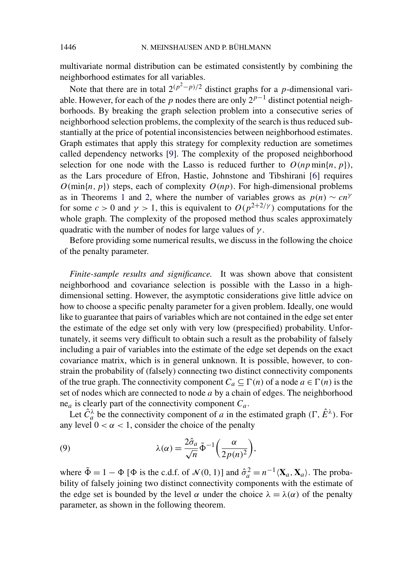<span id="page-10-0"></span>multivariate normal distribution can be estimated consistently by combining the neighborhood estimates for all variables.

Note that there are in total  $2^{(p^2-p)/2}$  distinct graphs for a *p*-dimensional variable. However, for each of the *p* nodes there are only  $2^{p-1}$  distinct potential neighborhoods. By breaking the graph selection problem into a consecutive series of neighborhood selection problems, the complexity of the search is thus reduced substantially at the price of potential inconsistencies between neighborhood estimates. Graph estimates that apply this strategy for complexity reduction are sometimes called dependency networks [\[9\]](#page-25-0). The complexity of the proposed neighborhood selection for one node with the Lasso is reduced further to  $O(np \min\{n, p\})$ , as the Lars procedure of Efron, Hastie, Johnstone and Tibshirani [\[6\]](#page-25-0) requires  $O(\min\{n, p\})$  steps, each of complexity  $O(np)$ . For high-dimensional problems as in Theorems [1](#page-8-0) and [2,](#page-8-0) where the number of variables grows as  $p(n) \sim cn^{\gamma}$ for some  $c > 0$  and  $\gamma > 1$ , this is equivalent to  $O(p^{2+2/\gamma})$  computations for the whole graph. The complexity of the proposed method thus scales approximately quadratic with the number of nodes for large values of *γ* .

Before providing some numerical results, we discuss in the following the choice of the penalty parameter.

*Finite-sample results and significance.* It was shown above that consistent neighborhood and covariance selection is possible with the Lasso in a highdimensional setting. However, the asymptotic considerations give little advice on how to choose a specific penalty parameter for a given problem. Ideally, one would like to guarantee that pairs of variables which are not contained in the edge set enter the estimate of the edge set only with very low (prespecified) probability. Unfortunately, it seems very difficult to obtain such a result as the probability of falsely including a pair of variables into the estimate of the edge set depends on the exact covariance matrix, which is in general unknown. It is possible, however, to constrain the probability of (falsely) connecting two distinct connectivity components of the true graph. The connectivity component  $C_a \subseteq \Gamma(n)$  of a node  $a \in \Gamma(n)$  is the set of nodes which are connected to node *a* by a chain of edges. The neighborhood ne*<sup>a</sup>* is clearly part of the connectivity component *Ca*.

Let  $\hat{C}_a^{\lambda}$  be the connectivity component of *a* in the estimated graph  $(\Gamma, \hat{E}^{\lambda})$ . For any level  $0 < \alpha < 1$ , consider the choice of the penalty

(9) 
$$
\lambda(\alpha) = \frac{2\hat{\sigma}_a}{\sqrt{n}} \tilde{\Phi}^{-1} \left( \frac{\alpha}{2p(n)^2} \right),
$$

where  $\tilde{\Phi} = 1 - \Phi [\Phi \text{ is the c.d.f. of } \mathcal{N}(0, 1)]$  and  $\hat{\sigma}_a^2 = n^{-1} \langle \mathbf{X}_a, \mathbf{X}_a \rangle$ . The probability of falsely joining two distinct connectivity components with the estimate of the edge set is bounded by the level  $\alpha$  under the choice  $\lambda = \lambda(\alpha)$  of the penalty parameter, as shown in the following theorem.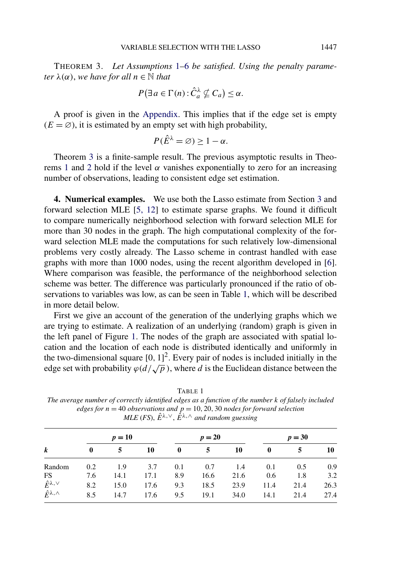<span id="page-11-0"></span>THEOREM 3. *Let Assumptions* [1](#page-4-0)[–6](#page-6-0) *be satisfied*. *Using the penalty parameter*  $\lambda(\alpha)$ *, we have for all*  $n \in \mathbb{N}$  *that* 

$$
P(\exists a \in \Gamma(n) : \hat{C}_a^{\lambda} \nsubseteq C_a) \leq \alpha.
$$

A proof is given in the [Appendix.](#page-13-0) This implies that if the edge set is empty  $(E = \emptyset)$ , it is estimated by an empty set with high probability,

$$
P(\hat{E}^{\lambda} = \varnothing) \ge 1 - \alpha.
$$

Theorem 3 is a finite-sample result. The previous asymptotic results in Theo-rems [1](#page-8-0) and [2](#page-8-0) hold if the level  $\alpha$  vanishes exponentially to zero for an increasing number of observations, leading to consistent edge set estimation.

**4. Numerical examples.** We use both the Lasso estimate from Section [3](#page-9-0) and forward selection MLE [\[5, 12\]](#page-25-0) to estimate sparse graphs. We found it difficult to compare numerically neighborhood selection with forward selection MLE for more than 30 nodes in the graph. The high computational complexity of the forward selection MLE made the computations for such relatively low-dimensional problems very costly already. The Lasso scheme in contrast handled with ease graphs with more than 1000 nodes, using the recent algorithm developed in [\[6\]](#page-25-0). Where comparison was feasible, the performance of the neighborhood selection scheme was better. The difference was particularly pronounced if the ratio of observations to variables was low, as can be seen in Table 1, which will be described in more detail below.

First we give an account of the generation of the underlying graphs which we are trying to estimate. A realization of an underlying (random) graph is given in the left panel of Figure [1.](#page-12-0) The nodes of the graph are associated with spatial location and the location of each node is distributed identically and uniformly in the two-dimensional square  $[0, 1]^2$ . Every pair of nodes is included initially in the edge set with probability  $\varphi(d/\sqrt{p})$ , where *d* is the Euclidean distance between the

*MLE* (*FS*),  $\hat{E}^{\lambda,\vee}$ ,  $\hat{E}^{\lambda,\wedge}$  *and random guessing*  $p = 10$   $p = 20$   $p = 30$ *k* **0 5 10 0 5 10 0 5 10**

TABLE 1 *The average number of correctly identified edges as a function of the number k of falsely included edges for*  $n = 40$  *observations and*  $p = 10, 20, 30$  *nodes for forward selection* 

| k                                          |  |  |  |  |                                            |  |  |    |  |
|--------------------------------------------|--|--|--|--|--------------------------------------------|--|--|----|--|
|                                            |  |  |  |  | $0 \t 5 \t 10 \t 0 \t 5 \t 10 \t 0 \t 5$   |  |  | 10 |  |
| Random 0.2 1.9 3.7 0.1 0.7 1.4 0.1 0.5 0.9 |  |  |  |  |                                            |  |  |    |  |
| FS 7.6 14.1 17.1 8.9 16.6 21.6 0.6 1.8 3.2 |  |  |  |  |                                            |  |  |    |  |
| $\hat{E}^{\lambda,\vee}$                   |  |  |  |  | 8.2 15.0 17.6 9.3 18.5 23.9 11.4 21.4 26.3 |  |  |    |  |
| $\hat{E}^{\lambda, \wedge}$                |  |  |  |  | 8.5 14.7 17.6 9.5 19.1 34.0 14.1 21.4 27.4 |  |  |    |  |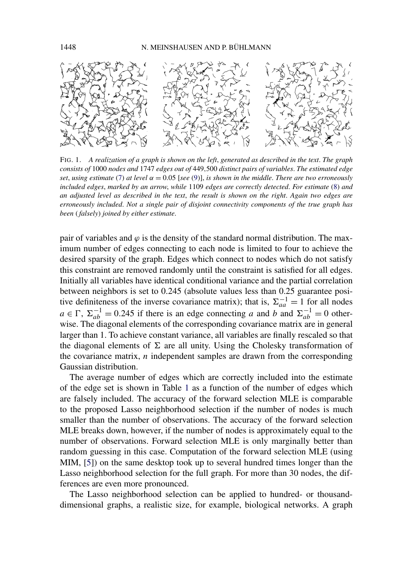<span id="page-12-0"></span>

FIG. 1. *A realization of a graph is shown on the left*, *generated as described in the text*. *The graph consists of* 1000 *nodes and* 1747 *edges out of* 449*,*500 *distinct pairs of variables*. *The estimated edge set, using estimate* [\(7\)](#page-9-0) *at level*  $\alpha = 0.05$  [*see* [\(9\)](#page-10-0)], *is shown in the middle. There are two erroneously included edges*, *marked by an arrow*, *while* 1109 *edges are correctly detected*. *For estimate* [\(8\)](#page-9-0) *and an adjusted level as described in the text*, *the result is shown on the right*. *Again two edges are erroneously included*. *Not a single pair of disjoint connectivity components of the true graph has been* ( *falsely*) *joined by either estimate*.

pair of variables and  $\varphi$  is the density of the standard normal distribution. The maximum number of edges connecting to each node is limited to four to achieve the desired sparsity of the graph. Edges which connect to nodes which do not satisfy this constraint are removed randomly until the constraint is satisfied for all edges. Initially all variables have identical conditional variance and the partial correlation between neighbors is set to 0*.*245 (absolute values less than 0.25 guarantee positive definiteness of the inverse covariance matrix); that is,  $\Sigma_{aa}^{-1} = 1$  for all nodes  $a \in \Gamma$ ,  $\Sigma_{ab}^{-1} = 0.245$  if there is an edge connecting *a* and *b* and  $\Sigma_{ab}^{-1} = 0$  otherwise. The diagonal elements of the corresponding covariance matrix are in general larger than 1. To achieve constant variance, all variables are finally rescaled so that the diagonal elements of  $\Sigma$  are all unity. Using the Cholesky transformation of the covariance matrix, *n* independent samples are drawn from the corresponding Gaussian distribution.

The average number of edges which are correctly included into the estimate of the edge set is shown in Table [1](#page-11-0) as a function of the number of edges which are falsely included. The accuracy of the forward selection MLE is comparable to the proposed Lasso neighborhood selection if the number of nodes is much smaller than the number of observations. The accuracy of the forward selection MLE breaks down, however, if the number of nodes is approximately equal to the number of observations. Forward selection MLE is only marginally better than random guessing in this case. Computation of the forward selection MLE (using MIM, [\[5\]](#page-25-0)) on the same desktop took up to several hundred times longer than the Lasso neighborhood selection for the full graph. For more than 30 nodes, the differences are even more pronounced.

The Lasso neighborhood selection can be applied to hundred- or thousanddimensional graphs, a realistic size, for example, biological networks. A graph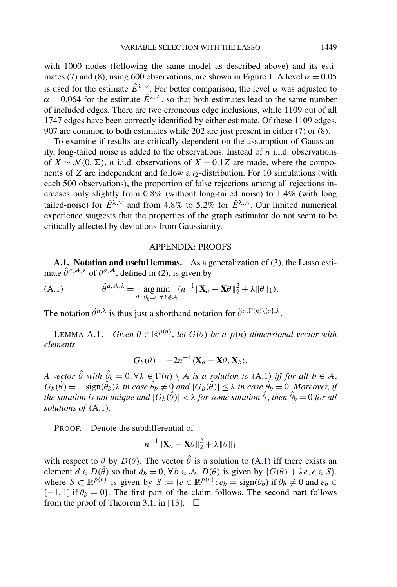<span id="page-13-0"></span>with 1000 nodes (following the same model as described above) and its esti-mates [\(7\)](#page-9-0) and [\(8\)](#page-9-0), using 600 observations, are shown in Figure [1.](#page-12-0) A level  $\alpha = 0.05$ is used for the estimate  $\hat{E}^{\lambda,\vee}$ . For better comparison, the level  $\alpha$  was adjusted to  $\alpha = 0.064$  for the estimate  $\hat{E}^{\lambda,\wedge}$ , so that both estimates lead to the same number of included edges. There are two erroneous edge inclusions, while 1109 out of all 1747 edges have been correctly identified by either estimate. Of these 1109 edges, 907 are common to both estimates while 202 are just present in either [\(7\)](#page-9-0) or [\(8\)](#page-9-0).

To examine if results are critically dependent on the assumption of Gaussianity, long-tailed noise is added to the observations. Instead of *n* i.i.d. observations of *X* ∼  $\mathcal{N}(0, \Sigma)$ , *n* i.i.d. observations of *X* + 0.1*Z* are made, where the components of *Z* are independent and follow a *t*2-distribution. For 10 simulations (with each 500 observations), the proportion of false rejections among all rejections increases only slightly from 0*.*8% (without long-tailed noise) to 1*.*4% (with long tailed-noise) for  $\hat{E}^{\lambda,\vee}$  and from 4.8% to 5.2% for  $\hat{E}^{\lambda,\wedge}$ . Our limited numerical experience suggests that the properties of the graph estimator do not seem to be critically affected by deviations from Gaussianity.

## APPENDIX: PROOFS

**A.1. Notation and useful lemmas.** As a generalization of [\(3\)](#page-3-0), the Lasso estimate  $\hat{\theta}^{a,A,\lambda}$  of  $\theta^{a,A}$ , defined in [\(2\)](#page-2-0), is given by

(A.1) 
$$
\hat{\theta}^{a,\mathcal{A},\lambda} = \underset{\theta:\theta_k=0 \,\forall k \notin \mathcal{A}}{\arg \min} (n^{-1} \|\mathbf{X}_a - \mathbf{X}\theta\|_2^2 + \lambda \|\theta\|_1).
$$

The notation  $\hat{\theta}^{a,\lambda}$  is thus just a shorthand notation for  $\hat{\theta}^{a,\Gamma(n)\setminus\{a\},\lambda}$ .

LEMMA A.1. *Given*  $\theta \in \mathbb{R}^{p(n)}$ , *let*  $G(\theta)$  *be a*  $p(n)$ *-dimensional vector with elements*

$$
G_b(\theta) = -2n^{-1}\langle \mathbf{X}_a - \mathbf{X}\theta, \mathbf{X}_b \rangle.
$$

*A* vector  $\hat{\theta}$  with  $\hat{\theta}_k = 0$ ,  $\forall k \in \Gamma(n) \setminus A$  is a solution to (A.1) iff for all  $b \in A$ ,  $G_b(\hat{\theta}) = -\text{sign}(\hat{\theta}_b) \lambda$  *in case*  $\hat{\theta}_b \neq 0$  *and*  $|G_b(\hat{\theta})| \leq \lambda$  *in case*  $\hat{\theta}_b = 0$ . Moreover, *if the solution is not unique and*  $|G_b(\hat{\theta})| < \lambda$  *for some solution*  $\hat{\theta}$ *, then*  $\hat{\theta}_b = 0$  *for all solutions of* (A.1).

PROOF. Denote the subdifferential of

$$
n^{-1} \|\mathbf{X}_a - \mathbf{X}\theta\|_2^2 + \lambda \|\theta\|_1
$$

with respect to  $\theta$  by  $D(\theta)$ . The vector  $\hat{\theta}$  is a solution to (A.1) iff there exists an element  $d \in D(\hat{\theta})$  so that  $d_b = 0$ ,  $\forall b \in A$ .  $D(\theta)$  is given by  $\{G(\theta) + \lambda e, e \in S\}$ , where  $S \subset \mathbb{R}^{p(n)}$  is given by  $S := \{e \in \mathbb{R}^{p(n)} : e_b = \text{sign}(\theta_b) \text{ if } \theta_b \neq 0 \text{ and } e_b \in \mathbb{R}^{p(n)} \}$  $[-1, 1]$  if  $\theta_b = 0$ . The first part of the claim follows. The second part follows from the proof of Theorem 3.1. in [\[13\]](#page-26-0).  $\Box$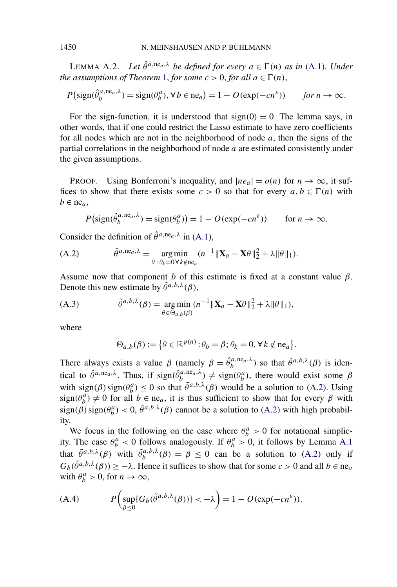<span id="page-14-0"></span>LEMMA A.2. *Let*  $\hat{\theta}^{a,ne_a,\lambda}$  *be defined for every*  $a \in \Gamma(n)$  *as in* [\(A.1\)](#page-13-0). *Under the assumptions of Theorem* [1,](#page-8-0) *for some*  $c > 0$ , *for all*  $a \in \Gamma(n)$ ,

$$
P(\text{sign}(\hat{\theta}_{b}^{a,\text{ne}_a,\lambda}) = \text{sign}(\theta_b^a), \forall b \in \text{ne}_a) = 1 - O(\exp(-cn^{\varepsilon})) \qquad \text{for } n \to \infty.
$$

For the sign-function, it is understood that  $sign(0) = 0$ . The lemma says, in other words, that if one could restrict the Lasso estimate to have zero coefficients for all nodes which are not in the neighborhood of node *a*, then the signs of the partial correlations in the neighborhood of node *a* are estimated consistently under the given assumptions.

**PROOF.** Using Bonferroni's inequality, and  $|ne_a| = o(n)$  for  $n \to \infty$ , it suffices to show that there exists some  $c > 0$  so that for every  $a, b \in \Gamma(n)$  with  $b \in ne_a$ ,

$$
P(\text{sign}(\hat{\theta}_{b}^{a,\text{ne}_a,\lambda}) = \text{sign}(\theta_{b}^a)) = 1 - O(\exp(-cn^{\varepsilon})) \quad \text{for } n \to \infty.
$$

Consider the definition of  $\hat{\theta}^{a, \text{ne}_a, \lambda}$  in [\(A.1\)](#page-13-0),

(A.2) 
$$
\hat{\theta}^{a, \text{ne}_a, \lambda} = \underset{\theta : \theta_k = 0 \forall k \notin \text{ne}_a}{\arg \min} (n^{-1} \|\mathbf{X}_a - \mathbf{X}\theta\|_2^2 + \lambda \|\theta\|_1).
$$

Assume now that component *b* of this estimate is fixed at a constant value  $\beta$ . Denote this new estimate by  $\tilde{\theta}^{a,b,\lambda}(\beta)$ ,

(A.3) 
$$
\tilde{\theta}^{a,b,\lambda}(\beta) = \underset{\theta \in \Theta_{a,b}(\beta)}{\arg \min} (n^{-1} \|\mathbf{X}_a - \mathbf{X}\theta\|_2^2 + \lambda \|\theta\|_1),
$$

where

$$
\Theta_{a,b}(\beta) := \{ \theta \in \mathbb{R}^{p(n)} : \theta_b = \beta; \theta_k = 0, \forall k \notin \text{ne}_a \}.
$$

There always exists a value  $\beta$  (namely  $\beta = \hat{\theta}_b^{a, \text{ne}_a, \lambda}$ ) so that  $\tilde{\theta}^{a, b, \lambda}(\beta)$  is identical to  $\hat{\theta}^{a, \text{ne}_a, \lambda}$ . Thus, if  $\text{sign}(\hat{\theta}_b^{a, \text{ne}_a, \lambda}) \neq \text{sign}(\theta_b^a)$ , there would exist some  $\beta$ with sign( $\beta$ ) sign( $\theta_b^a$ )  $\leq 0$  so that  $\tilde{\theta}^{a,b,\lambda}(\beta)$  would be a solution to (A.2). Using  $sign(\theta_b^a) \neq 0$  for all  $b \in ne_a$ , it is thus sufficient to show that for every  $\beta$  with  $sign(\beta)$   $sign(\theta_b^a) < 0$ ,  $\tilde{\theta}^{a,b,\lambda}(\beta)$  cannot be a solution to (A.2) with high probability.

We focus in the following on the case where  $\theta_b^a > 0$  for notational simplicity. The case  $\theta_b^a < 0$  follows analogously. If  $\theta_b^a > 0$ , it follows by Lemma [A.1](#page-13-0) that  $\tilde{\theta}^{a,b,\lambda}(\beta)$  with  $\tilde{\theta}^{a,b,\lambda}_b(\beta) = \beta \leq 0$  can be a solution to (A.2) only if  $G_b(\tilde{\theta}^{a,b,\lambda}(\beta)) \geq -\lambda$ . Hence it suffices to show that for some  $c > 0$  and all  $b \in ne_a$ with  $\theta_b^a > 0$ , for  $n \to \infty$ ,

(A.4) 
$$
P\left(\sup_{\beta \leq 0} \{G_b(\tilde{\theta}^{a,b,\lambda}(\beta))\} < -\lambda\right) = 1 - O(\exp(-cn^{\varepsilon})).
$$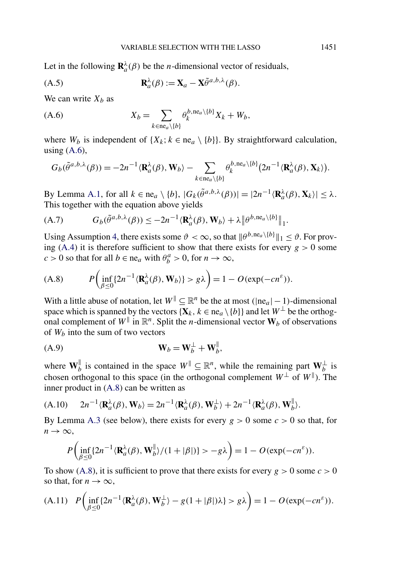<span id="page-15-0"></span>Let in the following  $\mathbf{R}_{a}^{\lambda}(\beta)$  be the *n*-dimensional vector of residuals,

(A.5) 
$$
\mathbf{R}_a^{\lambda}(\beta) := \mathbf{X}_a - \mathbf{X} \tilde{\theta}^{a,b,\lambda}(\beta).
$$

We can write  $X_b$  as

(A.6) 
$$
X_b = \sum_{k \in ne_a \setminus \{b\}} \theta_k^{b, ne_a \setminus \{b\}} X_k + W_b,
$$

where  $W_b$  is independent of  $\{X_k; k \in \text{ne}_a \setminus \{b\}\}\)$ . By straightforward calculation, using  $(A.6)$ ,

$$
G_b(\tilde{\theta}^{a,b,\lambda}(\beta)) = -2n^{-1}\langle \mathbf{R}_a^{\lambda}(\beta), \mathbf{W}_b \rangle - \sum_{k \in \text{ne}_a \setminus \{b\}} \theta_k^{b, \text{ne}_a \setminus \{b\}}(2n^{-1}\langle \mathbf{R}_a^{\lambda}(\beta), \mathbf{X}_k \rangle).
$$

By Lemma [A.1,](#page-13-0) for all  $k \in ne_a \setminus \{b\}$ ,  $|G_k(\tilde{\theta}^{a,b,\lambda}(\beta))| = |2n^{-1}\langle \mathbf{R}_a^{\lambda}(\beta), \mathbf{X}_k \rangle| \leq \lambda$ . This together with the equation above yields

(A.7) 
$$
G_b(\tilde{\theta}^{a,b,\lambda}(\beta)) \leq -2n^{-1} \langle \mathbf{R}_a^{\lambda}(\beta), \mathbf{W}_b \rangle + \lambda \|\theta^{b, \text{ne}_a \setminus \{b\}}\|_1.
$$

Using Assumption [4,](#page-5-0) there exists some  $\vartheta < \infty$ , so that  $\|\theta^{b,ne_a\setminus\{b\}}\|_1 \leq \vartheta$ . For prov-ing [\(A.4\)](#page-14-0) it is therefore sufficient to show that there exists for every  $g > 0$  some  $c > 0$  so that for all  $b \in \text{ne}_a$  with  $\theta_b^a > 0$ , for  $n \to \infty$ ,

(A.8) 
$$
P\left(\inf_{\beta \leq 0} \{2n^{-1}\langle \mathbf{R}_{a}^{\lambda}(\beta), \mathbf{W}_{b}\rangle\} > g\lambda\right) = 1 - O(\exp(-cn^{\varepsilon})).
$$

With a little abuse of notation, let  $W^{\parallel} \subseteq \mathbb{R}^n$  be the at most  $(|ne_a| - 1)$ -dimensional space which is spanned by the vectors  $\{X_k, k \in ne_a \setminus \{b\}\}\$ and let  $W^{\perp}$  be the orthogonal complement of  $W^{\parallel}$  in  $\mathbb{R}^n$ . Split the *n*-dimensional vector  $W_b$  of observations of  $W<sub>b</sub>$  into the sum of two vectors

$$
\mathbf{W}_b = \mathbf{W}_b^{\perp} + \mathbf{W}_b^{\parallel},
$$

where  $\mathbf{W}_b^{\parallel}$  is contained in the space  $W^{\parallel} \subseteq \mathbb{R}^n$ , while the remaining part  $\mathbf{W}_b^{\perp}$  is chosen orthogonal to this space (in the orthogonal complement  $W^{\perp}$  of  $W^{\parallel}$ ). The inner product in (A.8) can be written as

(A.10) 
$$
2n^{-1}\langle \mathbf{R}_a^{\lambda}(\beta), \mathbf{W}_b \rangle = 2n^{-1}\langle \mathbf{R}_a^{\lambda}(\beta), \mathbf{W}_b^{\perp} \rangle + 2n^{-1}\langle \mathbf{R}_a^{\lambda}(\beta), \mathbf{W}_b^{\parallel} \rangle
$$
.

By Lemma [A.3](#page-17-0) (see below), there exists for every  $g > 0$  some  $c > 0$  so that, for  $n \rightarrow \infty$ ,

$$
P\left(\inf_{\beta\leq 0}\{2n^{-1}\langle \mathbf{R}_{a}^{\lambda}(\beta), \mathbf{W}_{b}^{\parallel}\rangle/(1+|\beta|)\} > -g\lambda\right) = 1 - O(\exp(-cn^{\varepsilon})).
$$

To show (A.8), it is sufficient to prove that there exists for every  $g > 0$  some  $c > 0$ so that, for  $n \to \infty$ ,

(A.11) 
$$
P\left(\inf_{\beta \leq 0} \{2n^{-1}\langle \mathbf{R}_{a}^{\lambda}(\beta), \mathbf{W}_{b}^{\perp} \rangle - g(1+|\beta|)\lambda\} > g\lambda\right) = 1 - O(\exp(-cn^{\varepsilon})).
$$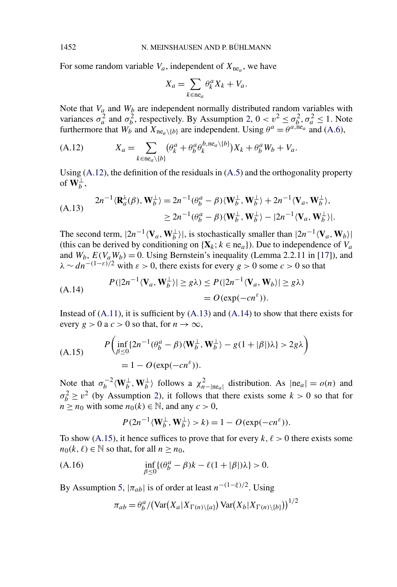For some random variable  $V_a$ , independent of  $X_{\text{ne}_a}$ , we have

$$
X_a = \sum_{k \in \text{ne}_a} \theta_k^a X_k + V_a.
$$

Note that *Va* and *Wb* are independent normally distributed random variables with variances  $\sigma_a^2$  and  $\sigma_b^2$ , respectively. By Assumption [2,](#page-5-0)  $0 < v^2 \le \sigma_b^2$ ,  $\sigma_a^2 \le 1$ . Note furthermore that  $W_b$  and  $X_{\text{ne}_a \setminus \{b\}}$  are independent. Using  $\theta^a = \theta^{a, \text{ne}_a}$  and [\(A.6\)](#page-15-0),

(A.12) 
$$
X_a = \sum_{k \in ne_a \setminus \{b\}} (\theta_k^a + \theta_b^a \theta_k^{b, ne_a \setminus \{b\}}) X_k + \theta_b^a W_b + V_a.
$$

Using  $(A.12)$ , the definition of the residuals in  $(A.5)$  and the orthogonality property of  $\widetilde{\mathbf{W}}_b^{\perp}$ ,

$$
(A.13) \quad 2n^{-1} \langle \mathbf{R}_a^{\lambda}(\beta), \mathbf{W}_b^{\perp} \rangle = 2n^{-1} (\theta_b^a - \beta) \langle \mathbf{W}_b^{\perp}, \mathbf{W}_b^{\perp} \rangle + 2n^{-1} \langle \mathbf{V}_a, \mathbf{W}_b^{\perp} \rangle,
$$
\n
$$
\geq 2n^{-1} (\theta_b^a - \beta) \langle \mathbf{W}_b^{\perp}, \mathbf{W}_b^{\perp} \rangle - |2n^{-1} \langle \mathbf{V}_a, \mathbf{W}_b^{\perp} \rangle|.
$$

The second term,  $|2n^{-1}\langle \mathbf{V}_a, \mathbf{W}_b^{\perp} \rangle|$ , is stochastically smaller than  $|2n^{-1}\langle \mathbf{V}_a, \mathbf{W}_b \rangle|$ (this can be derived by conditioning on  $\{X_k; k \in ne_\alpha\}$ ). Due to independence of  $V_\alpha$ and  $W_b$ ,  $E(V_a W_b) = 0$ . Using Bernstein's inequality (Lemma 2.2.11 in [\[17\]](#page-26-0)), and  $\lambda \sim dn^{-(1-\varepsilon)/2}$  with  $\varepsilon > 0$ , there exists for every  $g > 0$  some  $c > 0$  so that

(A.14) 
$$
P(|2n^{-1}\langle \mathbf{V}_a, \mathbf{W}_b^{\perp}\rangle| \ge g\lambda) \le P(|2n^{-1}\langle \mathbf{V}_a, \mathbf{W}_b\rangle| \ge g\lambda)
$$

$$
= O(\exp(-cn^{\varepsilon})).
$$

Instead of  $(A.11)$ , it is sufficient by  $(A.13)$  and  $(A.14)$  to show that there exists for every  $g > 0$  a  $c > 0$  so that, for  $n \to \infty$ ,

(A.15) 
$$
P\left(\inf_{\beta \le 0} \{2n^{-1}(\theta_b^a - \beta) \langle \mathbf{W}_b^{\perp}, \mathbf{W}_b^{\perp} \rangle - g(1 + |\beta|)\lambda\} > 2g\lambda\right) = 1 - O(\exp(-cn^{\varepsilon})).
$$

Note that  $\sigma_b^{-2} \langle \mathbf{W}_b^{\perp}, \mathbf{W}_b^{\perp} \rangle$  follows a  $\chi_{n-|\text{ne}_a|}^2$  distribution. As  $|\text{ne}_a| = o(n)$  and  $\sigma_b^2 \ge v^2$  (by Assumption [2\)](#page-5-0), it follows that there exists some  $k > 0$  so that for  $n \ge n_0$  with some  $n_0(k) \in \mathbb{N}$ , and any  $c > 0$ ,

$$
P(2n^{-1}\langle \mathbf{W}_b^{\perp}, \mathbf{W}_b^{\perp}\rangle > k) = 1 - O(\exp(-cn^{\varepsilon})).
$$

To show (A.15), it hence suffices to prove that for every  $k, \ell > 0$  there exists some *n*<sub>0</sub>( $k$ ,  $\ell$ ) ∈  $\mathbb N$  so that, for all *n* ≥ *n*<sub>0</sub>,

(A.16) 
$$
\inf_{\beta \le 0} \{ (\theta_b^a - \beta)k - \ell (1 + |\beta|) \lambda \} > 0.
$$

By Assumption [5,](#page-6-0)  $|\pi_{ab}|$  is of order at least  $n^{-(1-\xi)/2}$ . Using

$$
\pi_{ab} = \frac{\theta_b^a}{\left( \text{Var}(X_a | X_{\Gamma(n) \setminus \{a\}}) \text{Var}(X_b | X_{\Gamma(n) \setminus \{b\}}) \right)^{1/2}}
$$

<span id="page-16-0"></span>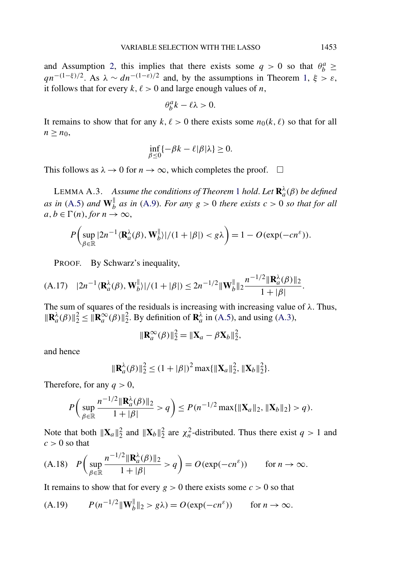<span id="page-17-0"></span>and Assumption [2,](#page-5-0) this implies that there exists some  $q > 0$  so that  $\theta_b^a \ge$ *qn*<sup>−(1−*ξ*)/2. As  $\lambda \sim dn^{-(1-\epsilon)/2}$  and, by the assumptions in Theorem [1,](#page-8-0)  $\xi > \epsilon$ ,</sup> it follows that for every  $k, \ell > 0$  and large enough values of *n*,

$$
\theta_b^a k - \ell \lambda > 0.
$$

It remains to show that for any  $k, \ell > 0$  there exists some  $n_0(k, \ell)$  so that for all  $n \geq n_0$ ,

$$
\inf_{\beta \le 0} \{-\beta k - \ell |\beta|\lambda\} \ge 0.
$$

This follows as  $\lambda \to 0$  for  $n \to \infty$ , which completes the proof.  $\square$ 

LEMMA A.3. Assume the conditions of Theorem [1](#page-8-0) hold. Let  $\mathbf{R}_a^{\lambda}(\beta)$  be defined *as in* [\(A.5\)](#page-15-0) *and*  $\mathbf{W}_b^{\parallel}$  *as in* [\(A.9\)](#page-15-0). *For any*  $g > 0$  *there exists*  $c > 0$  *so that for all*  $a, b \in \Gamma(n)$ , *for*  $n \to \infty$ ,

$$
P\left(\sup_{\beta\in\mathbb{R}}|2n^{-1}\langle\mathbf{R}_a^{\lambda}(\beta),\mathbf{W}_b^{\parallel}\rangle|/(1+|\beta|) < g\lambda\right) = 1 - O(\exp(-cn^{\varepsilon})).
$$

PROOF. By Schwarz's inequality,

(A.17) 
$$
|2n^{-1}\langle \mathbf{R}_a^{\lambda}(\beta), \mathbf{W}_b^{\parallel} \rangle|/(1+|\beta|) \leq 2n^{-1/2} \|\mathbf{W}_b^{\parallel}\|_2 \frac{n^{-1/2} \|\mathbf{R}_a^{\lambda}(\beta)\|_2}{1+|\beta|}.
$$

The sum of squares of the residuals is increasing with increasing value of *λ*. Thus,  $\|\mathbf{R}_{a}^{\lambda}(\beta)\|_{2}^{2} \leq \|\mathbf{R}_{a}^{\infty}(\beta)\|_{2}^{2}$ . By definition of  $\mathbf{R}_{a}^{\lambda}$  in [\(A.5\)](#page-15-0), and using [\(A.3\)](#page-14-0),

$$
\|\mathbf{R}_a^{\infty}(\beta)\|_2^2 = \|\mathbf{X}_a - \beta \mathbf{X}_b\|_2^2,
$$

and hence

$$
\|\mathbf{R}_{a}^{\lambda}(\beta)\|_{2}^{2} \leq (1+|\beta|)^{2} \max\{\|\mathbf{X}_{a}\|_{2}^{2}, \|\mathbf{X}_{b}\|_{2}^{2}\}.
$$

Therefore, for any  $q > 0$ ,

$$
P\left(\sup_{\beta\in\mathbb{R}}\frac{n^{-1/2}\|\mathbf{R}_{a}^{\lambda}(\beta)\|_{2}}{1+|\beta|}>q\right)\leq P(n^{-1/2}\max\{\|\mathbf{X}_{a}\|_{2},\|\mathbf{X}_{b}\|_{2}\}>q).
$$

Note that both  $||\mathbf{X}_a||_2^2$  and  $||\mathbf{X}_b||_2^2$  are  $\chi_n^2$ -distributed. Thus there exist  $q > 1$  and  $c > 0$  so that

(A.18) 
$$
P\left(\sup_{\beta \in \mathbb{R}} \frac{n^{-1/2} \|\mathbf{R}_{a}^{\lambda}(\beta)\|_{2}}{1+|\beta|} > q\right) = O(\exp(-cn^{\varepsilon})) \quad \text{for } n \to \infty.
$$

It remains to show that for every  $g > 0$  there exists some  $c > 0$  so that

(A.19) 
$$
P(n^{-1/2} \|\mathbf{W}_b^{\|}\|_2 > g\lambda) = O(\exp(-cn^{\varepsilon})) \quad \text{for } n \to \infty.
$$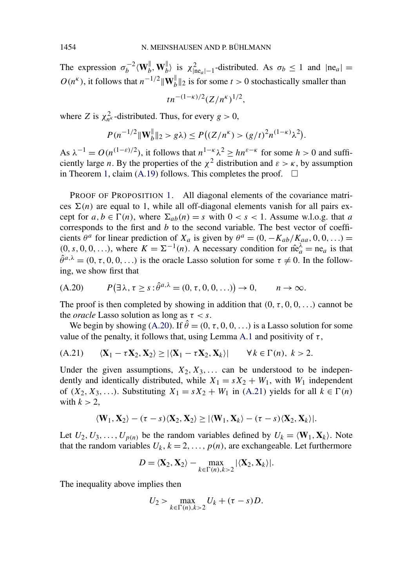<span id="page-18-0"></span>The expression  $\sigma_b^{-2} \langle \mathbf{W}_b^{\parallel}, \mathbf{W}_b^{\parallel} \rangle$  is  $\chi^2_{|\text{ne}_a|-1}$ -distributed. As  $\sigma_b \le 1$  and  $|\text{ne}_a|$  =  $O(n^k)$ , it follows that  $n^{-1/2} ||\mathbf{W}_b^{\parallel}||_2$  is for some  $t > 0$  stochastically smaller than

$$
tn^{-(1-\kappa)/2}(Z/n^{\kappa})^{1/2},
$$

where *Z* is  $\chi^2_{n\kappa}$ -distributed. Thus, for every  $g > 0$ ,

$$
P(n^{-1/2} \|\mathbf{W}_b^{\|}\|_2 > g\lambda) \le P((Z/n^{\kappa}) > (g/t)^2 n^{(1-\kappa)}\lambda^2).
$$

As  $\lambda^{-1} = O(n^{(1-\epsilon)/2})$ , it follows that  $n^{1-\kappa}\lambda^2 \geq hn^{\epsilon-\kappa}$  for some  $h > 0$  and sufficiently large *n*. By the properties of the  $\chi^2$  distribution and  $\varepsilon > \kappa$ , by assumption in Theorem [1,](#page-8-0) claim [\(A.19\)](#page-17-0) follows. This completes the proof.  $\square$ 

PROOF OF PROPOSITION [1](#page-4-0). All diagonal elements of the covariance matrices  $\Sigma(n)$  are equal to 1, while all off-diagonal elements vanish for all pairs except for  $a, b \in \Gamma(n)$ , where  $\Sigma_{ab}(n) = s$  with  $0 < s < 1$ . Assume w.l.o.g. that *a* corresponds to the first and *b* to the second variable. The best vector of coefficients  $\theta^a$  for linear prediction of  $X_a$  is given by  $\theta^a = (0, -K_{ab}/K_{aa}, 0, 0, ...)$  $(0, s, 0, 0, ...)$ , where  $K = \Sigma^{-1}(n)$ . A necessary condition for  $\hat{ne}_a^{\lambda} = ne_a$  is that  $\hat{\theta}^{a,\lambda} = (0, \tau, 0, 0, ...)$  is the oracle Lasso solution for some  $\tau \neq 0$ . In the following, we show first that

$$
(A.20) \tP(\exists \lambda, \tau \ge s : \hat{\theta}^{a,\lambda} = (0, \tau, 0, 0, \ldots)) \to 0, \t n \to \infty.
$$

The proof is then completed by showing in addition that  $(0, \tau, 0, 0, \ldots)$  cannot be the *oracle* Lasso solution as long as  $\tau < s$ .

We begin by showing (A.20). If  $\hat{\theta} = (0, \tau, 0, 0, ...)$  is a Lasso solution for some value of the penalty, it follows that, using Lemma [A.1](#page-13-0) and positivity of  $\tau$ ,

$$
(A.21) \qquad \langle \mathbf{X}_1 - \tau \mathbf{X}_2, \mathbf{X}_2 \rangle \ge |\langle \mathbf{X}_1 - \tau \mathbf{X}_2, \mathbf{X}_k \rangle| \qquad \forall k \in \Gamma(n), k > 2.
$$

Under the given assumptions,  $X_2, X_3, \ldots$  can be understood to be independently and identically distributed, while  $X_1 = sX_2 + W_1$ , with  $W_1$  independent of  $(X_2, X_3, \ldots)$ . Substituting  $X_1 = sX_2 + W_1$  in (A.21) yields for all  $k \in \Gamma(n)$ with  $k > 2$ ,

$$
\langle \mathbf{W}_1, \mathbf{X}_2 \rangle - (\tau - s) \langle \mathbf{X}_2, \mathbf{X}_2 \rangle \ge |\langle \mathbf{W}_1, \mathbf{X}_k \rangle - (\tau - s) \langle \mathbf{X}_2, \mathbf{X}_k \rangle|.
$$

Let  $U_2, U_3, \ldots, U_{p(n)}$  be the random variables defined by  $U_k = \langle \mathbf{W}_1, \mathbf{X}_k \rangle$ . Note that the random variables  $U_k$ ,  $k = 2, \ldots, p(n)$ , are exchangeable. Let furthermore

$$
D = \langle \mathbf{X}_2, \mathbf{X}_2 \rangle - \max_{k \in \Gamma(n), k > 2} |\langle \mathbf{X}_2, \mathbf{X}_k \rangle|.
$$

The inequality above implies then

$$
U_2 > \max_{k \in \Gamma(n), k > 2} U_k + (\tau - s)D.
$$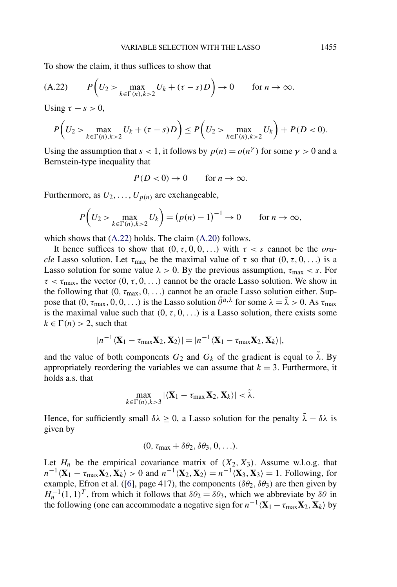To show the claim, it thus suffices to show that

$$
(A.22) \qquad P\left(U_2 > \max_{k \in \Gamma(n), k > 2} U_k + (\tau - s)D\right) \to 0 \qquad \text{for } n \to \infty.
$$

Using  $\tau - s > 0$ ,

$$
P\left(U_2 > \max_{k \in \Gamma(n), k>2} U_k + (\tau - s)D\right) \le P\left(U_2 > \max_{k \in \Gamma(n), k>2} U_k\right) + P(D < 0).
$$

Using the assumption that  $s < 1$ , it follows by  $p(n) = o(n^{\gamma})$  for some  $\gamma > 0$  and a Bernstein-type inequality that

$$
P(D < 0) \to 0 \qquad \text{for } n \to \infty.
$$

Furthermore, as  $U_2, \ldots, U_{p(n)}$  are exchangeable,

$$
P\left(U_2 > \max_{k \in \Gamma(n), k > 2} U_k\right) = \left(p(n) - 1\right)^{-1} \to 0 \quad \text{for } n \to \infty,
$$

which shows that  $(A.22)$  holds. The claim  $(A.20)$  follows.

It hence suffices to show that  $(0, \tau, 0, 0, ...)$  with  $\tau < s$  cannot be the *oracle* Lasso solution. Let  $\tau_{\text{max}}$  be the maximal value of  $\tau$  so that  $(0, \tau, 0, ...)$  is a Lasso solution for some value  $\lambda > 0$ . By the previous assumption,  $\tau_{\text{max}} < s$ . For  $\tau < \tau_{\text{max}}$ , the vector  $(0, \tau, 0, ...)$  cannot be the oracle Lasso solution. We show in the following that  $(0, \tau_{\text{max}}, 0, \ldots)$  cannot be an oracle Lasso solution either. Suppose that  $(0, \tau_{\text{max}}, 0, 0, ...)$  is the Lasso solution  $\hat{\theta}^{a,\lambda}$  for some  $\lambda = \tilde{\lambda} > 0$ . As  $\tau_{\text{max}}$ is the maximal value such that  $(0, \tau, 0, \ldots)$  is a Lasso solution, there exists some  $k \in \Gamma(n) > 2$ , such that

$$
|n^{-1}\langle \mathbf{X}_1-\tau_{\max}\mathbf{X}_2,\mathbf{X}_2\rangle|=|n^{-1}\langle \mathbf{X}_1-\tau_{\max}\mathbf{X}_2,\mathbf{X}_k\rangle|,
$$

and the value of both components  $G_2$  and  $G_k$  of the gradient is equal to  $\tilde{\lambda}$ . By appropriately reordering the variables we can assume that  $k = 3$ . Furthermore, it holds a.s. that

$$
\max_{k \in \Gamma(n), k > 3} |\langle \mathbf{X}_1 - \tau_{\max} \mathbf{X}_2, \mathbf{X}_k \rangle| < \tilde{\lambda}.
$$

Hence, for sufficiently small  $\delta\lambda \geq 0$ , a Lasso solution for the penalty  $\tilde{\lambda} - \delta\lambda$  is given by

$$
(0, \tau_{max} + \delta \theta_2, \delta \theta_3, 0, \ldots).
$$

Let  $H_n$  be the empirical covariance matrix of  $(X_2, X_3)$ . Assume w.l.o.g. that  $n^{-1}\langle \mathbf{X}_1 - \tau_{\text{max}}\mathbf{X}_2, \mathbf{X}_k \rangle > 0$  and  $n^{-1}\langle \mathbf{X}_2, \mathbf{X}_2 \rangle = n^{-1}\langle \mathbf{X}_3, \mathbf{X}_3 \rangle = 1$ . Following, for example, Efron et al. ([\[6\]](#page-25-0), page 417), the components  $(\delta\theta_2, \delta\theta_3)$  are then given by  $H_n^{-1}(1, 1)^T$ , from which it follows that  $\delta\theta_2 = \delta\theta_3$ , which we abbreviate by  $\delta\theta$  in the following (one can accommodate a negative sign for  $n^{-1}$  **(X**<sub>1</sub> −  $\tau_{\text{max}}$ **X**<sub>2</sub>, **X**<sub>k</sub>) by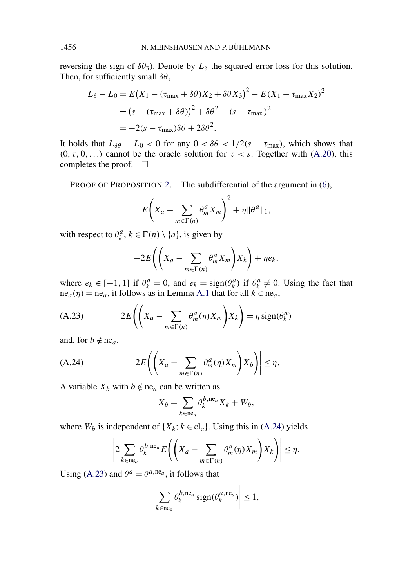reversing the sign of  $\delta\theta_3$ ). Denote by  $L_\delta$  the squared error loss for this solution. Then, for sufficiently small *δθ*,

$$
L_{\delta} - L_0 = E(X_1 - (\tau_{\text{max}} + \delta\theta)X_2 + \delta\theta X_3)^2 - E(X_1 - \tau_{\text{max}}X_2)^2
$$
  
=  $(s - (\tau_{\text{max}} + \delta\theta))^2 + \delta\theta^2 - (s - \tau_{\text{max}})^2$   
=  $-2(s - \tau_{\text{max}})\delta\theta + 2\delta\theta^2$ .

It holds that  $L_{\delta\theta} - L_0 < 0$  for any  $0 < \delta\theta < 1/2(s - \tau_{\text{max}})$ , which shows that  $(0, \tau, 0, \ldots)$  cannot be the oracle solution for  $\tau < s$ . Together with [\(A.20\)](#page-18-0), this completes the proof.  $\square$ 

PROOF OF PROPOSITION [2.](#page-7-0) The subdifferential of the argument in [\(6\)](#page-6-0),

$$
E\left(X_a - \sum_{m \in \Gamma(n)} \theta_m^a X_m\right)^2 + \eta \|\theta^a\|_1,
$$

with respect to  $\theta_k^a$ ,  $k \in \Gamma(n) \setminus \{a\}$ , is given by

$$
-2E\bigg(\bigg(X_a-\sum_{m\in\Gamma(n)}\theta_m^aX_m\bigg)X_k\bigg)+\eta e_k,
$$

where  $e_k \in [-1, 1]$  if  $\theta_k^a = 0$ , and  $e_k = \text{sign}(\theta_k^a)$  if  $\theta_k^a \neq 0$ . Using the fact that  $ne_a(\eta) = ne_a$ , it follows as in Lemma [A.1](#page-13-0) that for all  $k \in ne_a$ ,

(A.23) 
$$
2E\left(\left(X_a - \sum_{m \in \Gamma(n)} \theta_m^a(\eta) X_m\right) X_k\right) = \eta \operatorname{sign}(\theta_k^a)
$$

and, for  $b \notin \text{ne}_a$ ,

(A.24) 
$$
\left|2E\left(\left(X_a-\sum_{m\in\Gamma(n)}\theta_m^a(\eta)X_m\right)X_b\right)\right|\leq\eta.
$$

A variable  $X_b$  with  $b \notin \text{ne}_a$  can be written as

$$
X_b = \sum_{k \in \text{ne}_a} \theta_k^{b, \text{ne}_a} X_k + W_b,
$$

where  $W_b$  is independent of  $\{X_k; k \in \text{cl}_a\}$ . Using this in (A.24) yields

$$
\left|2\sum_{k\in\text{ne}_a}\theta_k^{b,\text{ne}_a}E\bigg(\bigg(X_a-\sum_{m\in\Gamma(n)}\theta_m^a(\eta)X_m\bigg)X_k\bigg)\right|\leq\eta.
$$

Using (A.23) and  $\theta^a = \theta^{a, \text{ne}_a}$ , it follows that

$$
\left|\sum_{k \in \text{ne}_a} \theta_k^{b, \text{ne}_a} \operatorname{sign}(\theta_k^{a, \text{ne}_a})\right| \le 1,
$$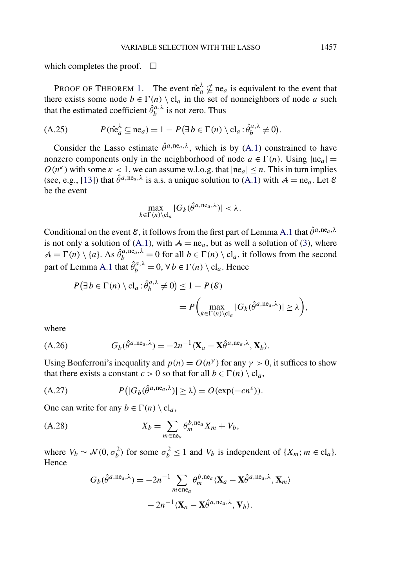<span id="page-21-0"></span>which completes the proof.  $\square$ 

PROOF OF THEOREM [1.](#page-8-0) The event  $\hat{ne}_a^{\lambda} \nsubseteq ne_a$  is equivalent to the event that there exists some node  $b \in \Gamma(n) \setminus cl_a$  in the set of nonneighbors of node *a* such that the estimated coefficient  $\hat{\theta}_b^{a,\lambda}$  is not zero. Thus

(A.25) 
$$
P(\hat{\text{ne}}_a^{\lambda} \subseteq \text{ne}_a) = 1 - P(\exists b \in \Gamma(n) \setminus \text{cl}_a : \hat{\theta}_b^{a,\lambda} \neq 0).
$$

Consider the Lasso estimate  $\hat{\theta}^{a,ne_a,\lambda}$ , which is by [\(A.1\)](#page-13-0) constrained to have nonzero components only in the neighborhood of node  $a \in \Gamma(n)$ . Using  $|ne_a|$  $O(n^k)$  with some  $k < 1$ , we can assume w.l.o.g. that  $|n e_a| \le n$ . This in turn implies (see, e.g., [\[13\]](#page-26-0)) that  $\hat{\theta}^{a,ne_a,\lambda}$  is a.s. a unique solution to [\(A.1\)](#page-13-0) with  $A = ne_a$ . Let  $\mathcal E$ be the event

$$
\max_{k \in \Gamma(n) \setminus \text{cl}_a} |G_k(\hat{\theta}^{a, \text{ne}_a, \lambda})| < \lambda.
$$

Conditional on the event  $\varepsilon$ , it follows from the first part of Lemma [A.1](#page-13-0) that  $\hat{\theta}^{a,ne_a,\lambda}$ is not only a solution of [\(A.1\)](#page-13-0), with  $A = ne_a$ , but as well a solution of [\(3\)](#page-3-0), where  $A = \Gamma(n) \setminus \{a\}$ . As  $\hat{\theta}_b^{a, \text{ne}_a, \lambda} = 0$  for all  $b \in \Gamma(n) \setminus \text{cl}_a$ , it follows from the second part of Lemma [A.1](#page-13-0) that  $\hat{\theta}_b^{a,\lambda} = 0$ ,  $\forall b \in \Gamma(n) \setminus \text{cl}_a$ . Hence

$$
P(\exists b \in \Gamma(n) \setminus \mathrm{cl}_a : \hat{\theta}_b^{a,\lambda} \neq 0) \le 1 - P(\mathcal{E})
$$
  
= 
$$
P\left(\max_{k \in \Gamma(n) \setminus \mathrm{cl}_a} |G_k(\hat{\theta}^{a,\mathrm{ne}_a,\lambda})| \ge \lambda\right),
$$

where

(A.26) 
$$
G_b(\hat{\theta}^{a, \text{ne}_a, \lambda}) = -2n^{-1} \langle \mathbf{X}_a - \mathbf{X} \hat{\theta}^{a, \text{ne}_a, \lambda}, \mathbf{X}_b \rangle.
$$

Using Bonferroni's inequality and  $p(n) = O(n^{\gamma})$  for any  $\gamma > 0$ , it suffices to show that there exists a constant *c* > 0 so that for all  $b \in \Gamma(n) \setminus cl_a$ ,

(A.27) 
$$
P(|G_b(\hat{\theta}^{a, \text{ne}_a, \lambda})| \geq \lambda) = O(\exp(-cn^{\varepsilon})).
$$

One can write for any  $b \in \Gamma(n) \setminus cl_a$ ,

$$
(A.28) \t\t X_b = \sum_{m \in ne_a} \theta_m^{b,ne_a} X_m + V_b,
$$

where  $V_b \sim \mathcal{N}(0, \sigma_b^2)$  for some  $\sigma_b^2 \le 1$  and  $V_b$  is independent of  $\{X_m; m \in \text{cl}_a\}.$ Hence

$$
G_b(\hat{\theta}^{a, \text{ne}_a, \lambda}) = -2n^{-1} \sum_{m \in \text{ne}_a} \theta_m^{b, \text{ne}_a} \langle \mathbf{X}_a - \mathbf{X} \hat{\theta}^{a, \text{ne}_a, \lambda}, \mathbf{X}_m \rangle
$$

$$
- 2n^{-1} \langle \mathbf{X}_a - \mathbf{X} \hat{\theta}^{a, \text{ne}_a, \lambda}, \mathbf{V}_b \rangle.
$$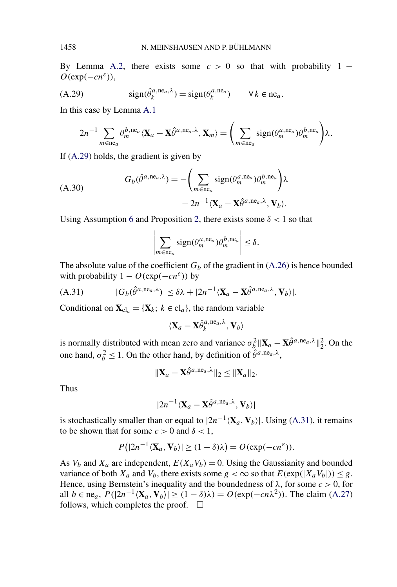<span id="page-22-0"></span>By Lemma [A.2,](#page-14-0) there exists some  $c > 0$  so that with probability 1 −  $O(\exp(-cn^{\varepsilon}))$ ,

$$
(A.29) \t\t\t sign(\hat{\theta}_k^{a,ne_a,\lambda}) = sign(\theta_k^{a,ne_a}) \t\t \forall k \in ne_a.
$$

In this case by Lemma [A.1](#page-13-0)

$$
2n^{-1}\sum_{m\in\mathrm{ne}_a}\theta_m^{b,\mathrm{ne}_a}\langle \mathbf{X}_a-\mathbf{X}\hat{\theta}^{a,\mathrm{ne}_a,\lambda},\mathbf{X}_m\rangle=\left(\sum_{m\in\mathrm{ne}_a}\mathrm{sign}(\theta_m^{a,\mathrm{ne}_a})\theta_m^{b,\mathrm{ne}_a}\right)\lambda.
$$

If (A.29) holds, the gradient is given by

(A.30)  
\n
$$
G_b(\hat{\theta}^{a, \text{ne}_a, \lambda}) = -\left(\sum_{m \in \text{ne}_a} \text{sign}(\theta_m^{a, \text{ne}_a}) \theta_m^{b, \text{ne}_a}\right) \lambda - 2n^{-1} \langle \mathbf{X}_a - \mathbf{X} \hat{\theta}^{a, \text{ne}_a, \lambda}, \mathbf{V}_b \rangle.
$$

Using Assumption [6](#page-6-0) and Proposition [2,](#page-7-0) there exists some *δ <* 1 so that

$$
\left|\sum_{m \in \text{ne}_a} sign(\theta_m^{a, \text{ne}_a}) \theta_m^{b, \text{ne}_a} \right| \le \delta.
$$

The absolute value of the coefficient  $G_b$  of the gradient in  $(A.26)$  is hence bounded with probability  $1 - O(\exp(-cn^{\epsilon}))$  by

(A.31) 
$$
|G_b(\hat{\theta}^{a,ne_a,\lambda})| \leq \delta \lambda + |2n^{-1}\langle \mathbf{X}_a - \mathbf{X}\hat{\theta}^{a,ne_a,\lambda}, \mathbf{V}_b\rangle|.
$$

Conditional on  $X_{c l_a} = \{X_k; k \in c l_a\}$ , the random variable

$$
\langle \mathbf{X}_a - \mathbf{X} \hat{\theta}_k^{a, \text{ne}_a, \lambda}, \mathbf{V}_b \rangle
$$

is normally distributed with mean zero and variance  $\sigma_b^2 ||\mathbf{X}_a - \mathbf{X} \hat{\theta}^{a, \text{ne}_a, \lambda}||_2^2$ . On the one hand,  $\sigma_b^2 \le 1$ . On the other hand, by definition of  $\hat{\theta}^{a, \text{ne}_a, \lambda}$ ,

$$
\|\mathbf{X}_a-\mathbf{X}\hat{\theta}^{a,\mathrm{ne}_a,\lambda}\|_2\leq \|\mathbf{X}_a\|_2.
$$

Thus

$$
|2n^{-1}\langle \mathbf{X}_a-\mathbf{X}\hat{\theta}^{a,\text{ne}_a,\lambda},\mathbf{V}_b\rangle|
$$

is stochastically smaller than or equal to  $|2n^{-1}\langle \mathbf{X}_a, \mathbf{V}_b\rangle|$ . Using (A.31), it remains to be shown that for some  $c > 0$  and  $\delta < 1$ ,

$$
P(|2n^{-1}\langle \mathbf{X}_a,\mathbf{V}_b\rangle|\geq (1-\delta)\lambda)=O(\exp(-cn^{\varepsilon})).
$$

As  $V_b$  and  $X_a$  are independent,  $E(X_a V_b) = 0$ . Using the Gaussianity and bounded variance of both  $X_a$  and  $V_b$ , there exists some  $g < \infty$  so that  $E(\exp(|X_a V_b|)) \leq g$ . Hence, using Bernstein's inequality and the boundedness of  $\lambda$ , for some  $c > 0$ , for all  $b \in \text{ne}_a$ ,  $P(|2n^{-1}\langle \mathbf{X}_a, \mathbf{V}_b \rangle) \ge (1 - \delta)\lambda) = O(\exp(-cn\lambda^2))$ . The claim [\(A.27\)](#page-21-0) follows, which completes the proof.  $\Box$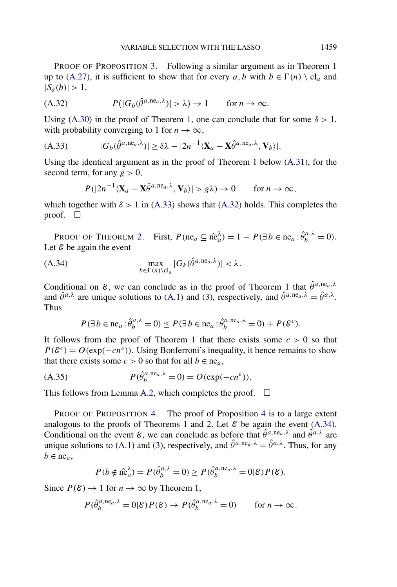PROOF OF PROPOSITION [3.](#page-8-0) Following a similar argument as in Theorem [1](#page-8-0) up to [\(A.27\)](#page-21-0), it is sufficient to show that for every  $a, b$  with  $b \in \Gamma(n) \setminus cl_a$  and  $|S_a(b)| > 1$ ,

(A.32) 
$$
P(|G_b(\hat{\theta}^{a,ne_a,\lambda})|>\lambda) \to 1 \quad \text{for } n \to \infty.
$$

Using [\(A.30\)](#page-22-0) in the proof of Theorem [1,](#page-8-0) one can conclude that for some  $\delta > 1$ , with probability converging to 1 for  $n \to \infty$ ,

(A.33) 
$$
|G_b(\hat{\theta}^{a,ne_a,\lambda})| \geq \delta \lambda - |2n^{-1}\langle \mathbf{X}_a - \mathbf{X}\hat{\theta}^{a,ne_a,\lambda}, \mathbf{V}_b\rangle|.
$$

Using the identical argument as in the proof of Theorem [1](#page-8-0) below [\(A.31\)](#page-22-0), for the second term, for any  $g > 0$ ,

$$
P(|2n^{-1}\langle \mathbf{X}_a - \mathbf{X}\hat{\theta}^{a, \text{ne}_a, \lambda}, \mathbf{V}_b \rangle| > g\lambda) \to 0 \quad \text{for } n \to \infty,
$$

which together with  $\delta > 1$  in (A.33) shows that (A.32) holds. This completes the proof.  $\square$ 

PROOF OF THEOREM [2.](#page-8-0) First,  $P(\text{ne}_a \subseteq \hat{\text{ne}}_a^{\lambda}) = 1 - P(\exists b \in \text{ne}_a : \hat{\theta}_b^{a,\lambda} = 0)$ . Let  $\mathcal E$  be again the event

(A.34) 
$$
\max_{k \in \Gamma(n) \setminus cl_a} |G_k(\hat{\theta}^{a, ne_a, \lambda})| < \lambda.
$$

Conditional on  $\mathcal{E}$ , we can conclude as in the proof of Theorem [1](#page-8-0) that  $\hat{\theta}^{a,ne_a,\lambda}$ and  $\hat{\theta}^{a,\lambda}$  are unique solutions to [\(A.1\)](#page-13-0) and [\(3\)](#page-3-0), respectively, and  $\hat{\theta}^{a,\text{ne}_a,\lambda} = \hat{\theta}^{a,\lambda}$ . **Thus** 

$$
P(\exists b \in \text{ne}_a : \hat{\theta}_b^{a,\lambda} = 0) \le P(\exists b \in \text{ne}_a : \hat{\theta}_b^{a,\text{ne}_a,\lambda} = 0) + P(\mathcal{E}^c).
$$

It follows from the proof of Theorem [1](#page-8-0) that there exists some  $c > 0$  so that  $P(\mathcal{E}^c) = O(\exp(-cn^{\epsilon}))$ . Using Bonferroni's inequality, it hence remains to show that there exists some  $c > 0$  so that for all  $b \in ne_a$ ,

(A.35) 
$$
P(\hat{\theta}_b^{a, \text{ne}_a, \lambda} = 0) = O(\exp(-cn^{\varepsilon})).
$$

This follows from Lemma [A.2,](#page-14-0) which completes the proof.  $\Box$ 

PROOF OF PROPOSITION [4.](#page-8-0) The proof of Proposition [4](#page-8-0) is to a large extent analogous to the proofs of Theorems [1](#page-8-0) and [2.](#page-8-0) Let  $\mathcal E$  be again the event (A.34). Conditional on the event  $\varepsilon$ , we can conclude as before that  $\hat{\theta}^{a,ne_a,\lambda}$  and  $\hat{\theta}^{a,\lambda}$  are unique solutions to [\(A.1\)](#page-13-0) and [\(3\)](#page-3-0), respectively, and  $\hat{\theta}^{a,ne_a,\lambda} = \hat{\theta}^{a,\lambda}$ . Thus, for any  $b \in ne_a$ ,

$$
P(b \notin \hat{\text{ne}}_a^{\lambda}) = P(\hat{\theta}_b^{a,\lambda} = 0) \ge P(\hat{\theta}_b^{a, \text{ne}_a, \lambda} = 0 | \mathcal{E}) P(\mathcal{E}).
$$

Since  $P(\mathcal{E}) \to 1$  for  $n \to \infty$  by Theorem [1,](#page-8-0)

$$
P(\hat{\theta}_b^{a, \text{ne}_a, \lambda} = 0 | \mathcal{E}) P(\mathcal{E}) \to P(\hat{\theta}_b^{a, \text{ne}_a, \lambda} = 0) \quad \text{for } n \to \infty.
$$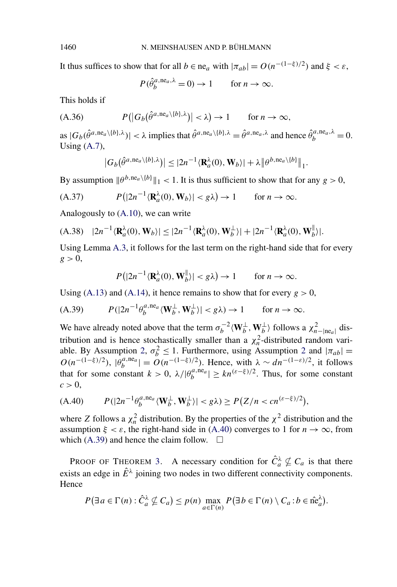It thus suffices to show that for all  $b \in ne_a$  with  $|\pi_{ab}| = O(n^{-(1-\xi)/2})$  and  $\xi < \varepsilon$ .

$$
P(\hat{\theta}_{b}^{a, \text{ne}_a, \lambda} = 0) \to 1 \quad \text{for } n \to \infty.
$$

This holds if

(A.36) 
$$
P(|G_b(\hat{\theta}^{a,ne_a\backslash\{b\},\lambda})|<\lambda)\to 1 \quad \text{for } n\to\infty,
$$

 $|\overline{G}_b(\hat{\theta}^{a,\text{ne}_a\setminus\{b\},\lambda})| < \lambda \text{ implies that } \hat{\theta}^{a,\text{ne}_a\setminus\{b\},\lambda} = \hat{\theta}^{a,\text{ne}_a,\lambda} \text{ and hence } \hat{\theta}_b^{a,\text{ne}_a,\lambda} = 0.$ Using [\(A.7\)](#page-15-0),

$$
|G_b(\hat{\theta}^{a,\text{ne}_a\setminus\{b\},\lambda})| \leq |2n^{-1}\langle \mathbf{R}_a^{\lambda}(0), \mathbf{W}_b\rangle| + \lambda \|\theta^{b,\text{ne}_a\setminus\{b\}}\|_1.
$$

By assumption  $\|\theta^{b,ne_a}\|_1 < 1$ . It is thus sufficient to show that for any  $g > 0$ ,

(A.37) 
$$
P(|2n^{-1}\langle \mathbf{R}_a^{\lambda}(0), \mathbf{W}_b\rangle| < g\lambda) \to 1 \quad \text{for } n \to \infty.
$$

Analogously to [\(A.10\)](#page-15-0), we can write

(A.38) 
$$
|2n^{-1}\langle \mathbf{R}_a^{\lambda}(0), \mathbf{W}_b\rangle| \le |2n^{-1}\langle \mathbf{R}_a^{\lambda}(0), \mathbf{W}_b^{\perp}\rangle| + |2n^{-1}\langle \mathbf{R}_a^{\lambda}(0), \mathbf{W}_b^{\parallel}\rangle|.
$$

Using Lemma [A.3,](#page-17-0) it follows for the last term on the right-hand side that for every  $g > 0$ ,

$$
P(|2n^{-1}\langle \mathbf{R}_a^{\lambda}(0), \mathbf{W}_b^{\parallel}\rangle| < g\lambda) \to 1
$$
 for  $n \to \infty$ .

Using [\(A.13\)](#page-16-0) and [\(A.14\)](#page-16-0), it hence remains to show that for every  $g > 0$ ,

(A.39) 
$$
P(|2n^{-1}\theta_b^{a, \text{ne}_a} \langle \mathbf{W}_b^{\perp}, \mathbf{W}_b^{\perp} \rangle| < g\lambda) \to 1 \quad \text{for } n \to \infty.
$$

We have already noted above that the term  $\sigma_b^{-2} \langle \mathbf{W}_b^{\perp}, \mathbf{W}_b^{\perp} \rangle$  follows a  $\chi^2_{n-|\text{ne}_a|}$  distribution and is hence stochastically smaller than a  $\chi^2$ -distributed random vari-able. By Assumption [2,](#page-5-0)  $\sigma_b^2 \le 1$  $\sigma_b^2 \le 1$  $\sigma_b^2 \le 1$ . Furthermore, using Assumption 2 and  $|\pi_{ab}| =$  $O(n^{-(1-\xi)/2})$ ,  $|\theta_b^{a, \text{ne}_a}| = O(n^{-(1-\xi)/2})$ . Hence, with  $\lambda \sim dn^{-(1-\epsilon)/2}$ , it follows that for some constant  $k > 0$ ,  $\lambda/|\theta_b^{a,ne_a}| \geq kn^{(\varepsilon-\xi)/2}$ . Thus, for some constant  $c > 0$ ,

(A.40) 
$$
P(|2n^{-1}\theta_b^{a, \text{ne}_a} \langle \mathbf{W}_b^{\perp}, \mathbf{W}_b^{\perp} \rangle| < g\lambda) \ge P(Z/n < cn^{(\varepsilon - \xi)/2}),
$$

where *Z* follows a  $\chi_n^2$  distribution. By the properties of the  $\chi^2$  distribution and the assumption  $\xi < \varepsilon$ , the right-hand side in (A.40) converges to 1 for  $n \to \infty$ , from which (A.39) and hence the claim follow.  $\square$ 

PROOF OF THEOREM [3.](#page-11-0) A necessary condition for  $\hat{C}_a^{\lambda} \nsubseteq C_a$  is that there exists an edge in  $\hat{E}^{\lambda}$  joining two nodes in two different connectivity components. Hence

$$
P(\exists a \in \Gamma(n) : \hat{C}_a^{\lambda} \nsubseteq C_a) \le p(n) \max_{a \in \Gamma(n)} P(\exists b \in \Gamma(n) \setminus C_a : b \in \hat{\text{ne}}_a^{\lambda}).
$$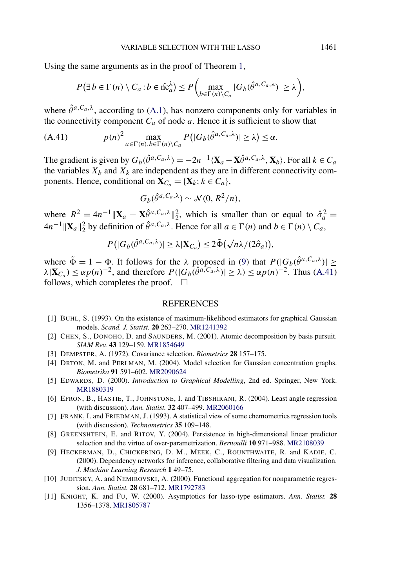<span id="page-25-0"></span>Using the same arguments as in the proof of Theorem [1,](#page-8-0)

$$
P(\exists b \in \Gamma(n) \setminus C_a : b \in \hat{\text{ne}}_a^{\lambda}) \le P\bigg(\max_{b \in \Gamma(n) \setminus C_a} |G_b(\hat{\theta}^{a,C_a,\lambda})| \ge \lambda\bigg),
$$

where  $\hat{\theta}^{a,C_a,\lambda}$ , according to [\(A.1\)](#page-13-0), has nonzero components only for variables in the connectivity component  $C_a$  of node  $a$ . Hence it is sufficient to show that

(A.41) 
$$
p(n)^{2} \max_{a \in \Gamma(n), b \in \Gamma(n) \setminus C_{a}} P(|G_{b}(\hat{\theta}^{a, C_{a}, \lambda})| \geq \lambda) \leq \alpha.
$$

The gradient is given by  $G_b(\hat{\theta}^{a,C_a,\lambda}) = -2n^{-1}\langle \mathbf{X}_a - \mathbf{X}\hat{\theta}^{a,C_a,\lambda}, \mathbf{X}_b \rangle$ . For all  $k \in C_a$ the variables  $X_b$  and  $X_k$  are independent as they are in different connectivity components. Hence, conditional on  $\mathbf{X}_{C_a} = \{ \mathbf{X}_k : k \in C_a \},\$ 

$$
G_b(\hat{\theta}^{a,C_a,\lambda}) \sim \mathcal{N}(0,R^2/n),
$$

where  $R^2 = 4n^{-1} ||\mathbf{X}_a - \mathbf{X} \hat{\theta}^{a, C_a, \lambda}||_2^2$ , which is smaller than or equal to  $\hat{\sigma}_a^2 =$  $4n^{-1} \|\mathbf{X}_a\|_2^2$  by definition of  $\hat{\theta}^{a,C_a,\lambda}$ . Hence for all  $a \in \Gamma(n)$  and  $b \in \Gamma(n) \setminus C_a$ ,

$$
P(|G_b(\hat{\theta}^{a,C_a,\lambda})| \geq \lambda |\mathbf{X}_{C_a}) \leq 2\tilde{\Phi}(\sqrt{n}\lambda/(2\hat{\sigma}_a)),
$$

where  $\tilde{\Phi} = 1 - \Phi$ . It follows for the  $\lambda$  proposed in [\(9\)](#page-10-0) that  $P(|G_b(\hat{\theta}^{a,C_a,\lambda})| \geq$  $\lambda$ |**X***C<sub>a</sub>*</sub>) ≤ *αp(n)*<sup>-2</sup>, and therefore  $P(|G_b(\hat{\theta}^{a,C_a,\lambda})| \geq \lambda) \leq \alpha p(n)^{-2}$ . Thus (A.41) follows, which completes the proof.  $\Box$ 

### **REFERENCES**

- [1] BUHL, S. (1993). On the existence of maximum-likelihood estimators for graphical Gaussian models. *Scand. J. Statist.* **20** 263–270. [MR1241392](http://www.ams.org/mathscinet-getitem?mr=1241392)
- [2] CHEN, S., DONOHO, D. and SAUNDERS, M. (2001). Atomic decomposition by basis pursuit. *SIAM Rev.* **43** 129–159. [MR1854649](http://www.ams.org/mathscinet-getitem?mr=1854649)
- [3] DEMPSTER, A. (1972). Covariance selection. *Biometrics* **28** 157–175.
- [4] DRTON, M. and PERLMAN, M. (2004). Model selection for Gaussian concentration graphs. *Biometrika* **91** 591–602. [MR2090624](http://www.ams.org/mathscinet-getitem?mr=2090624)
- [5] EDWARDS, D. (2000). *Introduction to Graphical Modelling*, 2nd ed. Springer, New York. [MR1880319](http://www.ams.org/mathscinet-getitem?mr=1880319)
- [6] EFRON, B., HASTIE, T., JOHNSTONE, I. and TIBSHIRANI, R. (2004). Least angle regression (with discussion). *Ann. Statist.* **32** 407–499. [MR2060166](http://www.ams.org/mathscinet-getitem?mr=2060166)
- [7] FRANK, I. and FRIEDMAN, J. (1993). A statistical view of some chemometrics regression tools (with discussion). *Technometrics* **35** 109–148.
- [8] GREENSHTEIN, E. and RITOV, Y. (2004). Persistence in high-dimensional linear predictor selection and the virtue of over-parametrization. *Bernoulli* **10** 971–988. [MR2108039](http://www.ams.org/mathscinet-getitem?mr=2108039)
- [9] HECKERMAN, D., CHICKERING, D. M., MEEK, C., ROUNTHWAITE, R. and KADIE, C. (2000). Dependency networks for inference, collaborative filtering and data visualization. *J. Machine Learning Research* **1** 49–75.
- [10] JUDITSKY, A. and NEMIROVSKI, A. (2000). Functional aggregation for nonparametric regression. *Ann. Statist.* **28** 681–712. [MR1792783](http://www.ams.org/mathscinet-getitem?mr=1792783)
- [11] KNIGHT, K. and FU, W. (2000). Asymptotics for lasso-type estimators. *Ann. Statist.* **28** 1356–1378. [MR1805787](http://www.ams.org/mathscinet-getitem?mr=1805787)